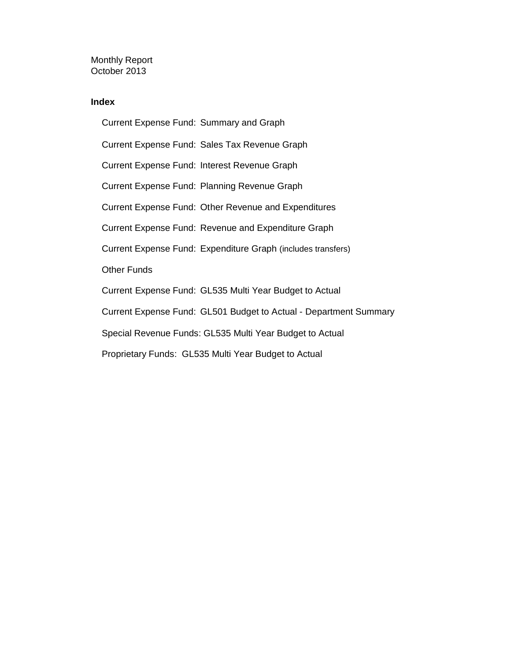Monthly Report October 2013

### **Index**

Current Expense Fund: Summary and Graph Current Expense Fund: Sales Tax Revenue Graph Current Expense Fund: Interest Revenue Graph Current Expense Fund: Planning Revenue Graph Current Expense Fund: Other Revenue and Expenditures Current Expense Fund: Revenue and Expenditure Graph Current Expense Fund: Expenditure Graph (includes transfers) Other Funds Current Expense Fund: GL535 Multi Year Budget to Actual Current Expense Fund: GL501 Budget to Actual - Department Summary Special Revenue Funds: GL535 Multi Year Budget to Actual Proprietary Funds: GL535 Multi Year Budget to Actual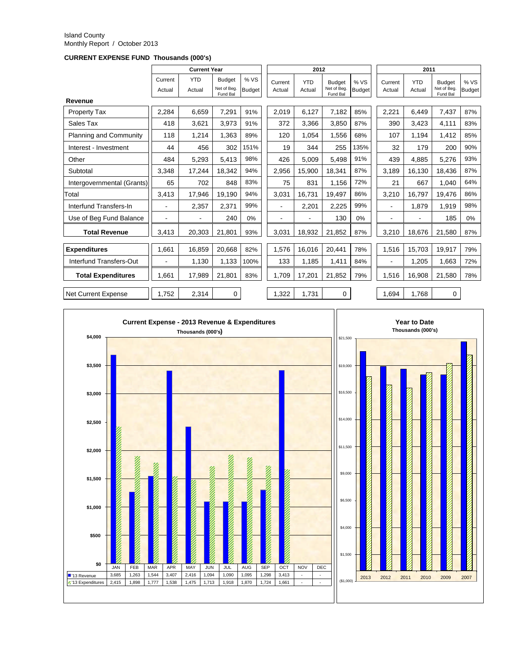#### Island County Monthly Report / October 2013

**CURRENT EXPENSE FUND Thousands (000's)**

|                               |                   | <b>Current Year</b>  |                                          |                      |                   | 2012                 |                                          |                       |                   | 2011                 |                                          |                       |
|-------------------------------|-------------------|----------------------|------------------------------------------|----------------------|-------------------|----------------------|------------------------------------------|-----------------------|-------------------|----------------------|------------------------------------------|-----------------------|
|                               | Current<br>Actual | <b>YTD</b><br>Actual | <b>Budget</b><br>Net of Beg.<br>Fund Bal | %VS<br><b>Budget</b> | Current<br>Actual | <b>YTD</b><br>Actual | <b>Budget</b><br>Net of Beg.<br>Fund Bal | % VS<br><b>Budget</b> | Current<br>Actual | <b>YTD</b><br>Actual | <b>Budget</b><br>Net of Beg.<br>Fund Bal | % VS<br><b>Budget</b> |
| Revenue                       |                   |                      |                                          |                      |                   |                      |                                          |                       |                   |                      |                                          |                       |
| Property Tax                  | 2,284             | 6.659                | 7.291                                    | 91%                  | 2,019             | 6,127                | 7,182                                    | 85%                   | 2,221             | 6.449                | 7,437                                    | 87%                   |
| Sales Tax                     | 418               | 3,621                | 3,973                                    | 91%                  | 372               | 3,366                | 3,850                                    | 87%                   | 390               | 3,423                | 4,111                                    | 83%                   |
| <b>Planning and Community</b> | 118               | 1.214                | 1,363                                    | 89%                  | 120               | 1.054                | 1,556                                    | 68%                   | 107               | 1,194                | 1,412                                    | 85%                   |
| Interest - Investment         | 44                | 456                  | 302                                      | 151%                 | 19                | 344                  | 255                                      | 135%                  | 32                | 179                  | 200                                      | 90%                   |
| Other                         | 484               | 5.293                | 5.413                                    | 98%                  | 426               | 5.009                | 5.498                                    | 91%                   | 439               | 4.885                | 5.276                                    | 93%                   |
| Subtotal                      | 3.348             | 17.244               | 18.342                                   | 94%                  | 2,956             | 15.900               | 18.341                                   | 87%                   | 3.189             | 16,130               | 18.436                                   | 87%                   |
| Intergovernmental (Grants)    | 65                | 702                  | 848                                      | 83%                  | 75                | 831                  | 1,156                                    | 72%                   | 21                | 667                  | 1.040                                    | 64%                   |
| Total                         | 3.413             | 17.946               | 19.190                                   | 94%                  | 3,031             | 16.731               | 19.497                                   | 86%                   | 3.210             | 16.797               | 19.476                                   | 86%                   |
| Interfund Transfers-In        |                   | 2,357                | 2,371                                    | 99%                  |                   | 2,201                | 2,225                                    | 99%                   | $\overline{a}$    | 1.879                | 1.919                                    | 98%                   |
| Use of Beg Fund Balance       | $\blacksquare$    | $\blacksquare$       | 240                                      | 0%                   | $\blacksquare$    |                      | 130                                      | 0%                    | ٠                 |                      | 185                                      | 0%                    |
| <b>Total Revenue</b>          | 3,413             | 20,303               | 21,801                                   | 93%                  | 3,031             | 18,932               | 21,852                                   | 87%                   | 3,210             | 18,676               | 21,580                                   | 87%                   |
| <b>Expenditures</b>           | 1,661             | 16.859               | 20.668                                   | 82%                  | 1,576             | 16.016               | 20,441                                   | 78%                   | 1,516             | 15,703               | 19.917                                   | 79%                   |
| Interfund Transfers-Out       |                   | 1,130                | 1,133                                    | 100%                 | 133               | 1,185                | 1,411                                    | 84%                   | ٠                 | 1,205                | 1,663                                    | 72%                   |
| <b>Total Expenditures</b>     | 1.661             | 17,989               | 21,801                                   | 83%                  | 1,709             | 17,201               | 21,852                                   | 79%                   | 1,516             | 16,908               | 21,580                                   | 78%                   |
| <b>Net Current Expense</b>    | 1.752             | 2,314                | 0                                        |                      | 1,322             | 1,731                | 0                                        |                       | 1.694             | 1,768                | 0                                        |                       |

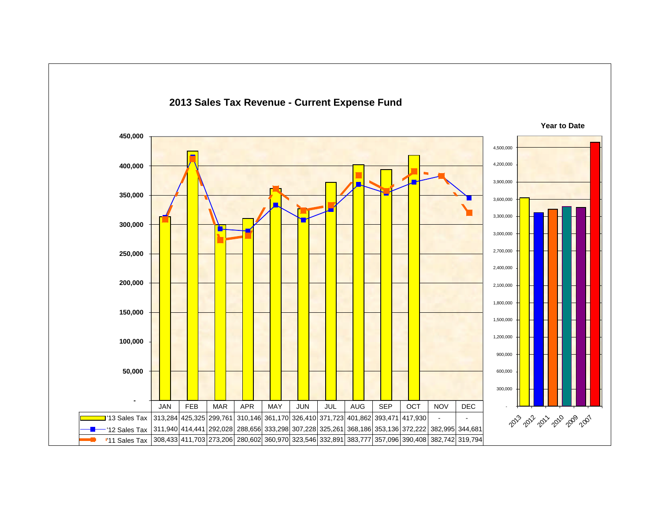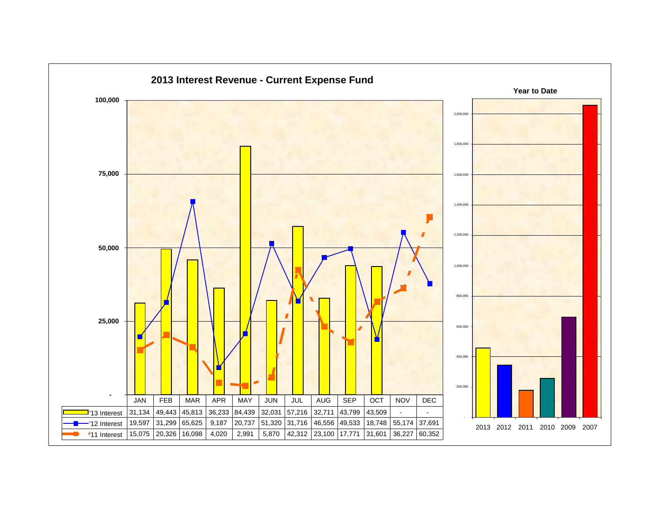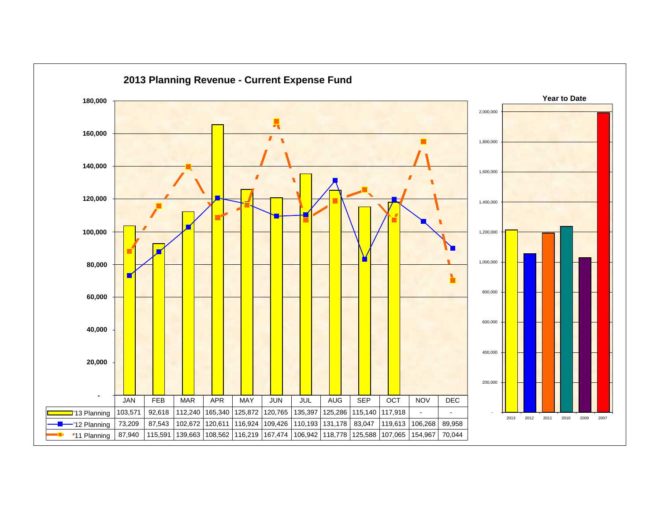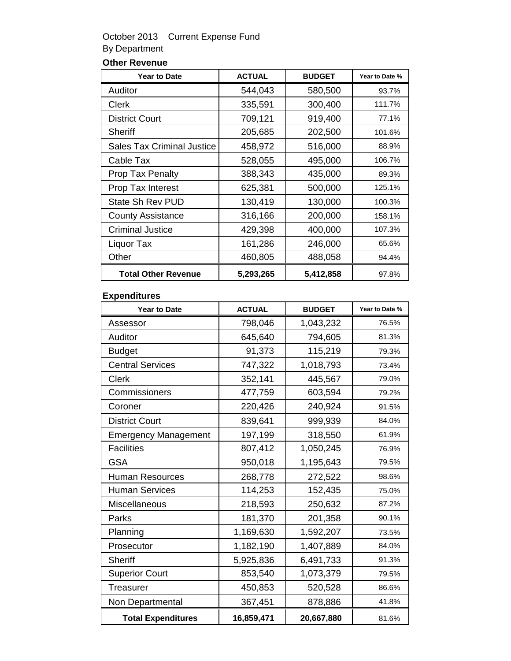## October 2013 Current Expense Fund By Department

## **Other Revenue**

| <b>Year to Date</b>               | <b>ACTUAL</b> | <b>BUDGET</b> | Year to Date % |
|-----------------------------------|---------------|---------------|----------------|
| Auditor                           | 544,043       | 580,500       | 93.7%          |
| <b>Clerk</b>                      | 335,591       | 300,400       | 111.7%         |
| <b>District Court</b>             | 709,121       | 919,400       | 77.1%          |
| Sheriff                           | 205,685       | 202,500       | 101.6%         |
| <b>Sales Tax Criminal Justice</b> | 458,972       | 516,000       | 88.9%          |
| Cable Tax                         | 528,055       | 495,000       | 106.7%         |
| <b>Prop Tax Penalty</b>           | 388,343       | 435,000       | 89.3%          |
| Prop Tax Interest                 | 625,381       | 500,000       | 125.1%         |
| <b>State Sh Rev PUD</b>           | 130,419       | 130,000       | 100.3%         |
| <b>County Assistance</b>          | 316,166       | 200,000       | 158.1%         |
| <b>Criminal Justice</b>           | 429,398       | 400,000       | 107.3%         |
| Liquor Tax                        | 161,286       | 246,000       | 65.6%          |
| Other                             | 460,805       | 488,058       | 94.4%          |
| <b>Total Other Revenue</b>        | 5,293,265     | 5,412,858     | 97.8%          |

### **Expenditures**

| <b>Year to Date</b>         | <b>ACTUAL</b> | <b>BUDGET</b> | Year to Date % |
|-----------------------------|---------------|---------------|----------------|
| Assessor                    | 798,046       | 1,043,232     | 76.5%          |
| Auditor                     | 645,640       | 794,605       | 81.3%          |
| <b>Budget</b>               | 91,373        | 115,219       | 79.3%          |
| <b>Central Services</b>     | 747,322       | 1,018,793     | 73.4%          |
| Clerk                       | 352,141       | 445,567       | 79.0%          |
| Commissioners               | 477,759       | 603,594       | 79.2%          |
| Coroner                     | 220,426       | 240,924       | 91.5%          |
| <b>District Court</b>       | 839,641       | 999,939       | 84.0%          |
| <b>Emergency Management</b> | 197,199       | 318,550       | 61.9%          |
| <b>Facilities</b>           | 807,412       | 1,050,245     | 76.9%          |
| <b>GSA</b>                  | 950,018       | 1,195,643     | 79.5%          |
| <b>Human Resources</b>      | 268,778       | 272,522       | 98.6%          |
| <b>Human Services</b>       | 114,253       | 152,435       | 75.0%          |
| Miscellaneous               | 218,593       | 250,632       | 87.2%          |
| Parks                       | 181,370       | 201,358       | 90.1%          |
| Planning                    | 1,169,630     | 1,592,207     | 73.5%          |
| Prosecutor                  | 1,182,190     | 1,407,889     | 84.0%          |
| <b>Sheriff</b>              | 5,925,836     | 6,491,733     | 91.3%          |
| <b>Superior Court</b>       | 853,540       | 1,073,379     | 79.5%          |
| <b>Treasurer</b>            | 450,853       | 520,528       | 86.6%          |
| Non Departmental            | 367,451       | 878,886       | 41.8%          |
| <b>Total Expenditures</b>   | 16,859,471    | 20,667,880    | 81.6%          |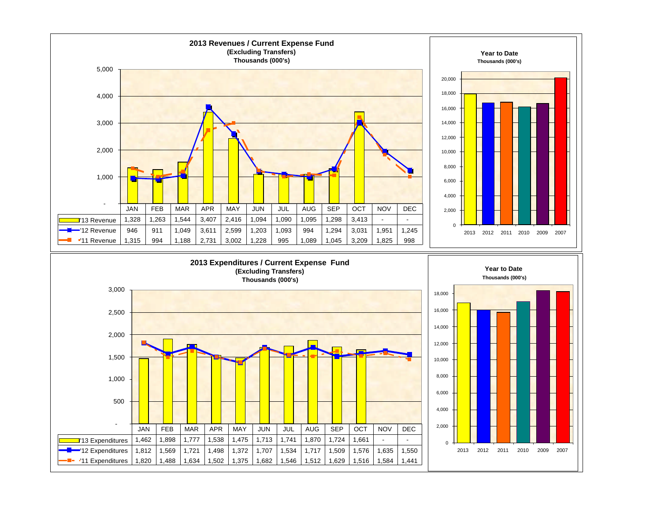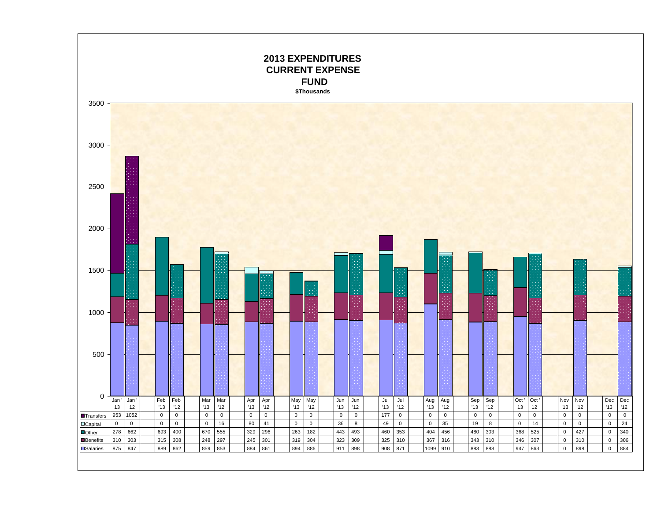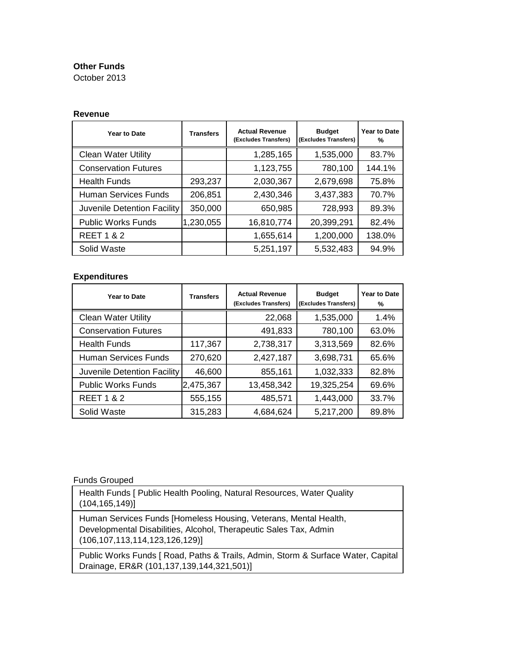### **Other Funds**

October 2013

#### **Revenue**

| Year to Date                | <b>Transfers</b> | <b>Actual Revenue</b><br>(Excludes Transfers) | <b>Budget</b><br>(Excludes Transfers) | Year to Date<br>℀ |
|-----------------------------|------------------|-----------------------------------------------|---------------------------------------|-------------------|
| <b>Clean Water Utility</b>  |                  | 1,285,165                                     | 1,535,000                             | 83.7%             |
| <b>Conservation Futures</b> |                  | 1,123,755                                     | 780,100                               | 144.1%            |
| <b>Health Funds</b>         | 293,237          | 2,030,367                                     | 2,679,698                             | 75.8%             |
| Human Services Funds        | 206,851          | 2,430,346                                     | 3,437,383                             | 70.7%             |
| Juvenile Detention Facility | 350,000          | 650,985                                       | 728,993                               | 89.3%             |
| <b>Public Works Funds</b>   | 1,230,055        | 16,810,774                                    | 20,399,291                            | 82.4%             |
| <b>REET 1 &amp; 2</b>       |                  | 1,655,614                                     | 1,200,000                             | 138.0%            |
| Solid Waste                 |                  | 5,251,197                                     | 5,532,483                             | 94.9%             |

### **Expenditures**

| Year to Date                | <b>Transfers</b> | <b>Actual Revenue</b><br>(Excludes Transfers) | <b>Budget</b><br>(Excludes Transfers) | Year to Date<br>% |
|-----------------------------|------------------|-----------------------------------------------|---------------------------------------|-------------------|
| <b>Clean Water Utility</b>  |                  | 22,068                                        | 1,535,000                             | 1.4%              |
| <b>Conservation Futures</b> |                  | 491,833                                       | 780,100                               | 63.0%             |
| <b>Health Funds</b>         | 117,367          | 2,738,317                                     | 3,313,569                             | 82.6%             |
| <b>Human Services Funds</b> | 270,620          | 2,427,187                                     | 3,698,731                             | 65.6%             |
| Juvenile Detention Facility | 46,600           | 855,161                                       | 1,032,333                             | 82.8%             |
| <b>Public Works Funds</b>   | 2,475,367        | 13,458,342                                    | 19,325,254                            | 69.6%             |
| <b>REET 1 &amp; 2</b>       | 555,155          | 485,571                                       | 1,443,000                             | 33.7%             |
| Solid Waste                 | 315,283          | 4,684,624                                     | 5,217,200                             | 89.8%             |

### Funds Grouped

Health Funds [ Public Health Pooling, Natural Resources, Water Quality (104,165,149)]

Human Services Funds [Homeless Housing, Veterans, Mental Health, Developmental Disabilities, Alcohol, Therapeutic Sales Tax, Admin (106,107,113,114,123,126,129)]

Public Works Funds [ Road, Paths & Trails, Admin, Storm & Surface Water, Capital Drainage, ER&R (101,137,139,144,321,501)]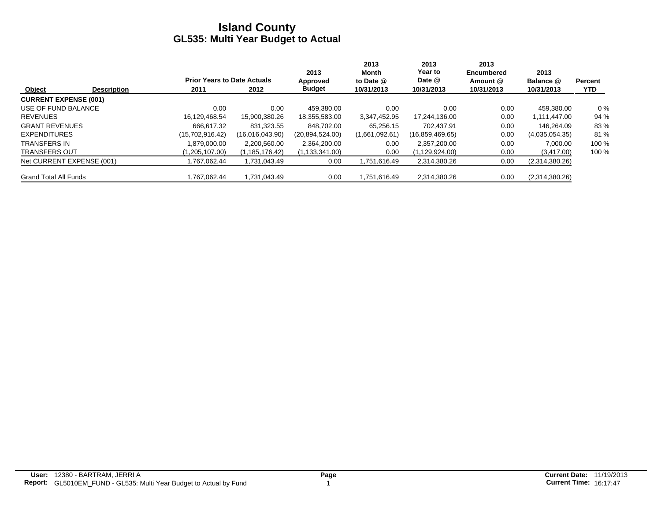|                              |                    |                                    |                  | 2013             | 2013<br>Month  | 2013<br>Year to | 2013<br><b>Encumbered</b> | 2013           |                |
|------------------------------|--------------------|------------------------------------|------------------|------------------|----------------|-----------------|---------------------------|----------------|----------------|
|                              |                    | <b>Prior Years to Date Actuals</b> |                  | Approved         | to Date @      | Date @          | Amount @                  | Balance @      | <b>Percent</b> |
| Object                       | <b>Description</b> | 2011                               | 2012             | <b>Budget</b>    | 10/31/2013     | 10/31/2013      | 10/31/2013                | 10/31/2013     | <b>YTD</b>     |
| <b>CURRENT EXPENSE (001)</b> |                    |                                    |                  |                  |                |                 |                           |                |                |
| USE OF FUND BALANCE          |                    | 0.00                               | 0.00             | 459.380.00       | 0.00           | 0.00            | 0.00                      | 459,380.00     | $0\%$          |
| <b>REVENUES</b>              |                    | 16.129.468.54                      | 15.900.380.26    | 18,355,583.00    | 3,347,452.95   | 17.244.136.00   | 0.00                      | 1,111,447.00   | 94 %           |
| <b>GRANT REVENUES</b>        |                    | 666.617.32                         | 831.323.55       | 848.702.00       | 65.256.15      | 702.437.91      | 0.00                      | 146.264.09     | 83%            |
| <b>EXPENDITURES</b>          |                    | (15,702,916.42)                    | (16,016,043.90)  | (20.894.524.00)  | (1,661,092.61) | (16,859,469.65) | 0.00                      | (4,035,054.35) | 81 %           |
| <b>TRANSFERS IN</b>          |                    | 1.879.000.00                       | 2.200.560.00     | 2,364,200.00     | 0.00           | 2.357.200.00    | 0.00                      | 7.000.00       | 100 %          |
| <b>TRANSFERS OUT</b>         |                    | (1,205,107.00)                     | (1, 185, 176.42) | (1, 133, 341.00) | 0.00           | (1,129,924.00)  | 0.00                      | (3,417.00)     | 100 %          |
| Net CURRENT EXPENSE (001)    |                    | .767.062.44                        | 1,731,043.49     | 0.00             | 1,751,616.49   | 2,314,380.26    | 0.00                      | (2,314,380.26) |                |
| <b>Grand Total All Funds</b> |                    | .767.062.44                        | 1,731,043.49     | 0.00             | 1,751,616.49   | 2,314,380.26    | 0.00                      | (2,314,380.26) |                |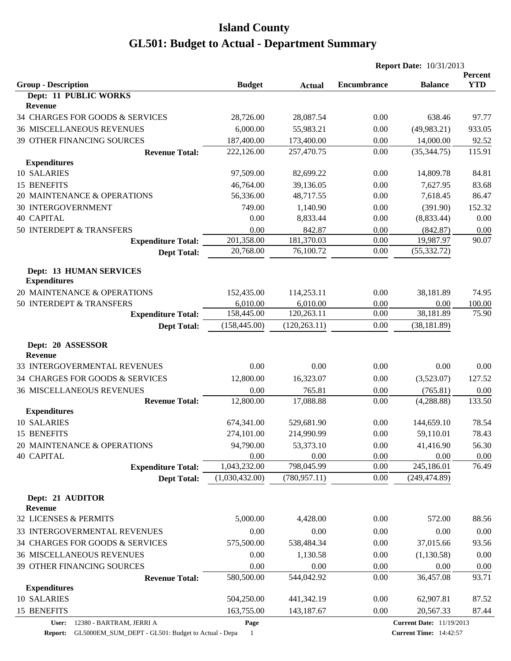|                                                       |                |               | <b>Report Date: 10/31/2013</b> |                                 |                       |
|-------------------------------------------------------|----------------|---------------|--------------------------------|---------------------------------|-----------------------|
| <b>Group - Description</b>                            | <b>Budget</b>  | <b>Actual</b> | <b>Encumbrance</b>             | <b>Balance</b>                  | Percent<br><b>YTD</b> |
| Dept: 11 PUBLIC WORKS<br>Revenue                      |                |               |                                |                                 |                       |
| 34 CHARGES FOR GOODS & SERVICES                       | 28,726.00      | 28,087.54     | 0.00                           | 638.46                          | 97.77                 |
| <b>36 MISCELLANEOUS REVENUES</b>                      | 6,000.00       | 55,983.21     | 0.00                           | (49, 983.21)                    | 933.05                |
| 39 OTHER FINANCING SOURCES                            | 187,400.00     | 173,400.00    | 0.00                           | 14,000.00                       | 92.52                 |
| <b>Revenue Total:</b>                                 | 222,126.00     | 257,470.75    | 0.00                           | (35, 344.75)                    | 115.91                |
| <b>Expenditures</b>                                   |                |               |                                |                                 |                       |
| 10 SALARIES                                           | 97,509.00      | 82,699.22     | 0.00                           | 14,809.78                       | 84.81                 |
| 15 BENEFITS                                           | 46,764.00      | 39,136.05     | 0.00                           | 7,627.95                        | 83.68                 |
| 20 MAINTENANCE & OPERATIONS                           | 56,336.00      | 48,717.55     | 0.00                           | 7,618.45                        | 86.47                 |
| <b>30 INTERGOVERNMENT</b>                             | 749.00         | 1,140.90      | 0.00                           | (391.90)                        | 152.32                |
| <b>40 CAPITAL</b>                                     | 0.00           | 8,833.44      | 0.00                           | (8,833.44)                      | 0.00                  |
| 50 INTERDEPT & TRANSFERS                              | 0.00           | 842.87        | 0.00                           | (842.87)                        | 0.00                  |
| <b>Expenditure Total:</b>                             | 201,358.00     | 181,370.03    | 0.00                           | 19,987.97                       | 90.07                 |
| <b>Dept Total:</b>                                    | 20,768.00      | 76,100.72     | 0.00                           | (55, 332.72)                    |                       |
|                                                       |                |               |                                |                                 |                       |
| <b>Dept: 13 HUMAN SERVICES</b><br><b>Expenditures</b> |                |               |                                |                                 |                       |
| 20 MAINTENANCE & OPERATIONS                           | 152,435.00     | 114,253.11    | 0.00                           | 38,181.89                       | 74.95                 |
| 50 INTERDEPT & TRANSFERS                              | 6,010.00       | 6,010.00      | 0.00                           | 0.00                            | 100.00                |
| <b>Expenditure Total:</b>                             | 158,445.00     | 120,263.11    | 0.00                           | 38,181.89                       | 75.90                 |
| <b>Dept Total:</b>                                    | (158, 445.00)  | (120, 263.11) | 0.00                           | (38, 181.89)                    |                       |
| Dept: 20 ASSESSOR<br>Revenue                          |                |               |                                |                                 |                       |
| 33 INTERGOVERMENTAL REVENUES                          | 0.00           | 0.00          | 0.00                           | 0.00                            | 0.00                  |
| 34 CHARGES FOR GOODS & SERVICES                       | 12,800.00      | 16,323.07     | 0.00                           | (3,523.07)                      | 127.52                |
| <b>36 MISCELLANEOUS REVENUES</b>                      | 0.00           | 765.81        | 0.00                           | (765.81)                        | 0.00                  |
| <b>Revenue Total:</b>                                 | 12,800.00      | 17,088.88     | 0.00                           | (4,288.88)                      | 133.50                |
| <b>Expenditures</b>                                   |                |               |                                |                                 |                       |
| 10 SALARIES                                           | 674,341.00     | 529,681.90    | 0.00                           | 144,659.10                      | 78.54                 |
| 15 BENEFITS                                           | 274,101.00     | 214,990.99    | 0.00                           | 59,110.01                       | 78.43                 |
| 20 MAINTENANCE & OPERATIONS                           | 94,790.00      | 53,373.10     | 0.00                           | 41,416.90                       | 56.30                 |
| <b>40 CAPITAL</b>                                     | 0.00           | 0.00          | 0.00                           | 0.00                            | 0.00                  |
| <b>Expenditure Total:</b>                             | 1,043,232.00   | 798,045.99    | 0.00                           | 245,186.01                      | 76.49                 |
| <b>Dept Total:</b>                                    | (1,030,432.00) | (780, 957.11) | 0.00                           | (249, 474.89)                   |                       |
| Dept: 21 AUDITOR<br>Revenue                           |                |               |                                |                                 |                       |
| 32 LICENSES & PERMITS                                 | 5,000.00       | 4,428.00      | 0.00                           | 572.00                          | 88.56                 |
| 33 INTERGOVERMENTAL REVENUES                          | 0.00           | 0.00          | 0.00                           | 0.00                            | 0.00                  |
|                                                       |                |               |                                |                                 |                       |
| 34 CHARGES FOR GOODS & SERVICES                       | 575,500.00     | 538,484.34    | 0.00                           | 37,015.66                       | 93.56                 |
| <b>36 MISCELLANEOUS REVENUES</b>                      | 0.00           | 1,130.58      | 0.00                           | (1, 130.58)                     | 0.00                  |
| 39 OTHER FINANCING SOURCES                            | 0.00           | 0.00          | 0.00                           | 0.00                            | 0.00                  |
| <b>Revenue Total:</b>                                 | 580,500.00     | 544,042.92    | 0.00                           | 36,457.08                       | 93.71                 |
| <b>Expenditures</b><br>10 SALARIES                    |                |               |                                |                                 |                       |
|                                                       | 504,250.00     | 441,342.19    | 0.00                           | 62,907.81                       | 87.52                 |
| 15 BENEFITS                                           | 163,755.00     | 143,187.67    | 0.00                           | 20,567.33                       | 87.44                 |
| 12380 - BARTRAM, JERRI A<br>User:                     | Page           |               |                                | <b>Current Date: 11/19/2013</b> |                       |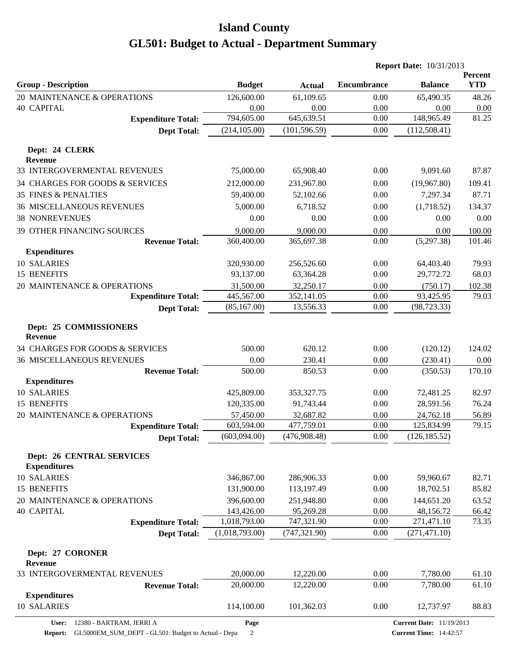|                                                          |                         |                         |                    | <b>Report Date: 10/31/2013</b>  |                       |
|----------------------------------------------------------|-------------------------|-------------------------|--------------------|---------------------------------|-----------------------|
| <b>Group - Description</b>                               | <b>Budget</b>           | <b>Actual</b>           | <b>Encumbrance</b> | <b>Balance</b>                  | Percent<br><b>YTD</b> |
| 20 MAINTENANCE & OPERATIONS                              | 126,600.00              | 61,109.65               | 0.00               | 65,490.35                       | 48.26                 |
| <b>40 CAPITAL</b>                                        | 0.00                    | 0.00                    | 0.00               | 0.00                            | 0.00                  |
| <b>Expenditure Total:</b>                                | 794,605.00              | 645,639.51              | 0.00               | 148,965.49                      | 81.25                 |
| <b>Dept Total:</b>                                       | (214, 105.00)           | (101, 596.59)           | 0.00               | (112,508.41)                    |                       |
| Dept: 24 CLERK                                           |                         |                         |                    |                                 |                       |
| <b>Revenue</b>                                           |                         |                         |                    |                                 |                       |
| 33 INTERGOVERMENTAL REVENUES                             | 75,000.00               | 65,908.40               | 0.00               | 9,091.60                        | 87.87                 |
| 34 CHARGES FOR GOODS & SERVICES                          | 212,000.00              | 231,967.80              | 0.00               | (19,967.80)                     | 109.41                |
| <b>35 FINES &amp; PENALTIES</b>                          | 59,400.00               | 52,102.66               | 0.00               | 7,297.34                        | 87.71                 |
| <b>36 MISCELLANEOUS REVENUES</b>                         | 5,000.00                | 6,718.52                | 0.00               | (1,718.52)                      | 134.37                |
| <b>38 NONREVENUES</b>                                    | 0.00                    | 0.00                    | 0.00               | 0.00                            | 0.00                  |
| 39 OTHER FINANCING SOURCES                               | 9,000.00                | 9,000.00                | 0.00               | 0.00                            | 100.00                |
| <b>Revenue Total:</b><br><b>Expenditures</b>             | 360,400.00              | 365,697.38              | 0.00               | (5,297.38)                      | 101.46                |
| 10 SALARIES                                              | 320,930.00              | 256,526.60              | 0.00               | 64,403.40                       | 79.93                 |
| 15 BENEFITS                                              | 93,137.00               | 63,364.28               | 0.00               | 29,772.72                       | 68.03                 |
| 20 MAINTENANCE & OPERATIONS                              | 31,500.00               | 32,250.17               | 0.00               | (750.17)                        | 102.38                |
| <b>Expenditure Total:</b>                                | 445,567.00              | 352,141.05              | 0.00               | 93,425.95                       | 79.03                 |
| <b>Dept Total:</b>                                       | (85,167.00)             | 13,556.33               | 0.00               | (98, 723.33)                    |                       |
| Dept: 25 COMMISSIONERS<br>Revenue                        |                         |                         |                    |                                 |                       |
| 34 CHARGES FOR GOODS & SERVICES                          | 500.00                  | 620.12                  | 0.00               | (120.12)                        | 124.02                |
| <b>36 MISCELLANEOUS REVENUES</b>                         | 0.00                    | 230.41                  | 0.00               | (230.41)                        | 0.00                  |
| <b>Revenue Total:</b>                                    | 500.00                  | 850.53                  | 0.00               | (350.53)                        | 170.10                |
| <b>Expenditures</b><br>10 SALARIES                       |                         |                         |                    |                                 |                       |
| 15 BENEFITS                                              | 425,809.00              | 353,327.75              | 0.00               | 72,481.25                       | 82.97                 |
|                                                          | 120,335.00              | 91,743.44               | 0.00               | 28,591.56                       | 76.24                 |
| 20 MAINTENANCE & OPERATIONS<br><b>Expenditure Total:</b> | 57,450.00<br>603,594.00 | 32,687.82<br>477,759.01 | 0.00<br>0.00       | 24,762.18<br>125,834.99         | 56.89<br>79.15        |
| <b>Dept Total:</b>                                       | (603,094.00)            | (476,908.48)            | $0.00\,$           | (126, 185.52)                   |                       |
| <b>Dept: 26 CENTRAL SERVICES</b><br><b>Expenditures</b>  |                         |                         |                    |                                 |                       |
| 10 SALARIES                                              | 346,867.00              | 286,906.33              | 0.00               | 59,960.67                       | 82.71                 |
| 15 BENEFITS                                              | 131,900.00              | 113,197.49              | 0.00               | 18,702.51                       | 85.82                 |
| 20 MAINTENANCE & OPERATIONS                              | 396,600.00              | 251,948.80              | 0.00               | 144,651.20                      | 63.52                 |
| <b>40 CAPITAL</b>                                        | 143,426.00              | 95,269.28               | 0.00               | 48,156.72                       | 66.42                 |
| <b>Expenditure Total:</b>                                | 1,018,793.00            | 747,321.90              | 0.00               | 271,471.10                      | 73.35                 |
| <b>Dept Total:</b>                                       | (1,018,793.00)          | (747, 321.90)           | 0.00               | (271, 471.10)                   |                       |
| Dept: 27 CORONER<br>Revenue                              |                         |                         |                    |                                 |                       |
| 33 INTERGOVERMENTAL REVENUES                             | 20,000.00               | 12,220.00               | 0.00               | 7,780.00                        | 61.10                 |
| <b>Revenue Total:</b>                                    | 20,000.00               | 12,220.00               | 0.00               | 7,780.00                        | 61.10                 |
| <b>Expenditures</b><br>10 SALARIES                       | 114,100.00              | 101,362.03              | 0.00               | 12,737.97                       | 88.83                 |
| 12380 - BARTRAM, JERRI A<br>User:                        | Page                    |                         |                    | <b>Current Date: 11/19/2013</b> |                       |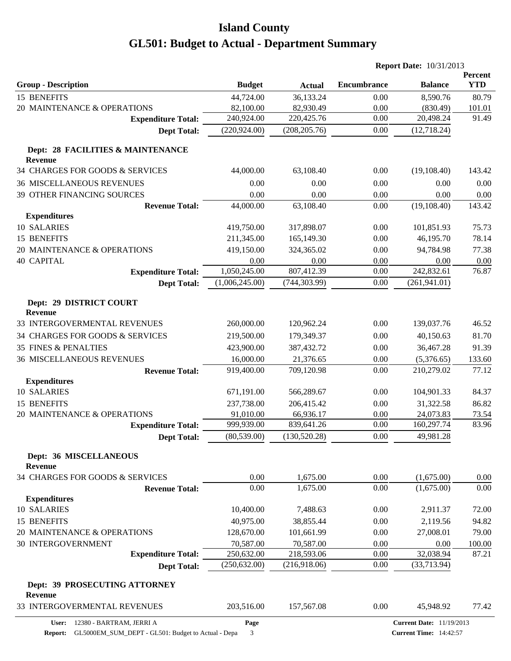|                                                     |                |               | <b>Report Date: 10/31/2013</b> |                                 |                       |
|-----------------------------------------------------|----------------|---------------|--------------------------------|---------------------------------|-----------------------|
| <b>Group - Description</b>                          | <b>Budget</b>  | <b>Actual</b> | <b>Encumbrance</b>             | <b>Balance</b>                  | Percent<br><b>YTD</b> |
| 15 BENEFITS                                         | 44,724.00      | 36,133.24     | 0.00                           | 8,590.76                        | 80.79                 |
| 20 MAINTENANCE & OPERATIONS                         | 82,100.00      | 82,930.49     | 0.00                           | (830.49)                        | 101.01                |
| <b>Expenditure Total:</b>                           | 240,924.00     | 220,425.76    | 0.00                           | 20,498.24                       | 91.49                 |
| <b>Dept Total:</b>                                  | (220, 924.00)  | (208, 205.76) | 0.00                           | (12,718.24)                     |                       |
| Dept: 28 FACILITIES & MAINTENANCE<br><b>Revenue</b> |                |               |                                |                                 |                       |
| 34 CHARGES FOR GOODS & SERVICES                     | 44,000.00      | 63,108.40     | 0.00                           | (19, 108.40)                    | 143.42                |
| <b>36 MISCELLANEOUS REVENUES</b>                    | 0.00           | 0.00          | 0.00                           | 0.00                            | 0.00                  |
| 39 OTHER FINANCING SOURCES                          | 0.00           | 0.00          | 0.00                           | 0.00                            | 0.00                  |
| <b>Revenue Total:</b>                               | 44,000.00      | 63,108.40     | 0.00                           | (19, 108.40)                    | 143.42                |
| <b>Expenditures</b>                                 |                |               |                                |                                 |                       |
| 10 SALARIES                                         | 419,750.00     | 317,898.07    | 0.00                           | 101,851.93                      | 75.73                 |
| 15 BENEFITS                                         | 211,345.00     | 165,149.30    | 0.00                           | 46,195.70                       | 78.14                 |
| 20 MAINTENANCE & OPERATIONS                         | 419,150.00     | 324,365.02    | 0.00                           | 94,784.98                       | 77.38                 |
| <b>40 CAPITAL</b>                                   | 0.00           | 0.00          | 0.00                           | 0.00                            | 0.00                  |
| <b>Expenditure Total:</b>                           | 1,050,245.00   | 807,412.39    | 0.00                           | 242,832.61                      | 76.87                 |
| <b>Dept Total:</b>                                  | (1,006,245.00) | (744, 303.99) | 0.00                           | (261, 941.01)                   |                       |
|                                                     |                |               |                                |                                 |                       |
| Dept: 29 DISTRICT COURT<br><b>Revenue</b>           |                |               |                                |                                 |                       |
| 33 INTERGOVERMENTAL REVENUES                        | 260,000.00     | 120,962.24    | 0.00                           | 139,037.76                      | 46.52                 |
| 34 CHARGES FOR GOODS & SERVICES                     | 219,500.00     | 179,349.37    | 0.00                           | 40,150.63                       | 81.70                 |
| <b>35 FINES &amp; PENALTIES</b>                     | 423,900.00     | 387,432.72    | 0.00                           | 36,467.28                       | 91.39                 |
| <b>36 MISCELLANEOUS REVENUES</b>                    | 16,000.00      | 21,376.65     | 0.00                           | (5,376.65)                      | 133.60                |
| <b>Revenue Total:</b>                               | 919,400.00     | 709,120.98    | 0.00                           | 210,279.02                      | 77.12                 |
| <b>Expenditures</b>                                 |                |               |                                |                                 |                       |
| 10 SALARIES                                         | 671,191.00     | 566,289.67    | 0.00                           | 104,901.33                      | 84.37                 |
| 15 BENEFITS                                         | 237,738.00     | 206,415.42    | 0.00                           | 31,322.58                       | 86.82                 |
| 20 MAINTENANCE & OPERATIONS                         | 91,010.00      | 66,936.17     | 0.00                           | 24,073.83                       | 73.54                 |
| <b>Expenditure Total:</b>                           | 999,939.00     | 839,641.26    | 0.00                           | 160,297.74                      | 83.96                 |
| <b>Dept Total:</b>                                  | (80, 539.00)   | (130, 520.28) | $0.00\,$                       | 49,981.28                       |                       |
| Dept: 36 MISCELLANEOUS<br><b>Revenue</b>            |                |               |                                |                                 |                       |
| 34 CHARGES FOR GOODS & SERVICES                     | 0.00           | 1,675.00      | 0.00                           | (1,675.00)                      | 0.00                  |
| <b>Revenue Total:</b>                               | 0.00           | 1,675.00      | 0.00                           | (1,675.00)                      | 0.00                  |
| <b>Expenditures</b>                                 |                |               |                                |                                 |                       |
| 10 SALARIES                                         | 10,400.00      | 7,488.63      | 0.00                           | 2,911.37                        | 72.00                 |
| 15 BENEFITS                                         | 40,975.00      | 38,855.44     | 0.00                           | 2,119.56                        | 94.82                 |
| 20 MAINTENANCE & OPERATIONS                         | 128,670.00     | 101,661.99    | 0.00                           | 27,008.01                       | 79.00                 |
| 30 INTERGOVERNMENT                                  | 70,587.00      | 70,587.00     | 0.00                           | 0.00                            | 100.00                |
| <b>Expenditure Total:</b>                           | 250,632.00     | 218,593.06    | 0.00                           | 32,038.94                       | 87.21                 |
| <b>Dept Total:</b>                                  | (250, 632.00)  | (216,918.06)  | 0.00                           | (33,713.94)                     |                       |
| Dept: 39 PROSECUTING ATTORNEY<br>Revenue            |                |               |                                |                                 |                       |
| 33 INTERGOVERMENTAL REVENUES                        | 203,516.00     | 157,567.08    | 0.00                           | 45,948.92                       | 77.42                 |
| User:<br>12380 - BARTRAM, JERRI A                   | Page           |               |                                | <b>Current Date: 11/19/2013</b> |                       |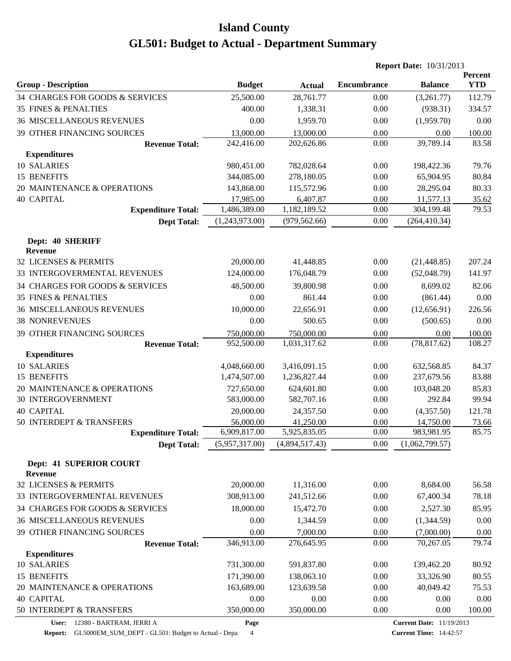|                                    |                           |                           |                    | <b>Report Date: 10/31/2013</b> |                       |
|------------------------------------|---------------------------|---------------------------|--------------------|--------------------------------|-----------------------|
| <b>Group - Description</b>         | <b>Budget</b>             | <b>Actual</b>             | <b>Encumbrance</b> | <b>Balance</b>                 | Percent<br><b>YTD</b> |
| 34 CHARGES FOR GOODS & SERVICES    | 25,500.00                 | 28,761.77                 | 0.00               | (3,261.77)                     | 112.79                |
| <b>35 FINES &amp; PENALTIES</b>    | 400.00                    | 1,338.31                  | 0.00               | (938.31)                       | 334.57                |
| <b>36 MISCELLANEOUS REVENUES</b>   | 0.00                      | 1,959.70                  | 0.00               | (1,959.70)                     | 0.00                  |
| 39 OTHER FINANCING SOURCES         | 13,000.00                 | 13,000.00                 | 0.00               | 0.00                           | 100.00                |
| <b>Revenue Total:</b>              | 242,416.00                | 202,626.86                | 0.00               | 39,789.14                      | 83.58                 |
| <b>Expenditures</b>                |                           |                           |                    |                                |                       |
| 10 SALARIES                        | 980,451.00                | 782,028.64                | 0.00               | 198,422.36                     | 79.76                 |
| 15 BENEFITS                        | 344,085.00                | 278,180.05                | 0.00               | 65,904.95                      | 80.84                 |
| 20 MAINTENANCE & OPERATIONS        | 143,868.00                | 115,572.96                | 0.00               | 28,295.04                      | 80.33                 |
| <b>40 CAPITAL</b>                  | 17,985.00                 | 6,407.87                  | 0.00               | 11,577.13                      | 35.62                 |
| <b>Expenditure Total:</b>          | 1,486,389.00              | 1,182,189.52              | 0.00               | 304,199.48                     | 79.53                 |
| <b>Dept Total:</b>                 | (1,243,973.00)            | (979, 562.66)             | 0.00               | (264, 410.34)                  |                       |
| Dept: 40 SHERIFF                   |                           |                           |                    |                                |                       |
| <b>Revenue</b>                     |                           |                           |                    |                                |                       |
| 32 LICENSES & PERMITS              | 20,000.00                 | 41,448.85                 | 0.00               | (21, 448.85)                   | 207.24                |
| 33 INTERGOVERMENTAL REVENUES       | 124,000.00                | 176,048.79                | 0.00               | (52,048.79)                    | 141.97                |
| 34 CHARGES FOR GOODS & SERVICES    | 48,500.00                 | 39,800.98                 | 0.00               | 8,699.02                       | 82.06                 |
| <b>35 FINES &amp; PENALTIES</b>    | 0.00                      | 861.44                    | 0.00               | (861.44)                       | 0.00                  |
| <b>36 MISCELLANEOUS REVENUES</b>   | 10,000.00                 | 22,656.91                 | 0.00               | (12,656.91)                    | 226.56                |
| <b>38 NONREVENUES</b>              | 0.00                      | 500.65                    | 0.00               | (500.65)                       | 0.00                  |
| 39 OTHER FINANCING SOURCES         | 750,000.00                | 750,000.00                | 0.00               | 0.00                           | 100.00                |
| <b>Revenue Total:</b>              | 952,500.00                | 1,031,317.62              | 0.00               | (78, 817.62)                   | 108.27                |
| <b>Expenditures</b>                |                           |                           |                    |                                |                       |
| 10 SALARIES                        | 4,048,660.00              | 3,416,091.15              | 0.00               | 632,568.85                     | 84.37                 |
| 15 BENEFITS                        | 1,474,507.00              | 1,236,827.44              | 0.00               | 237,679.56                     | 83.88                 |
| 20 MAINTENANCE & OPERATIONS        | 727,650.00                | 624,601.80                | 0.00               | 103,048.20                     | 85.83                 |
| <b>30 INTERGOVERNMENT</b>          | 583,000.00                | 582,707.16                | 0.00               | 292.84                         | 99.94                 |
| <b>40 CAPITAL</b>                  | 20,000.00                 | 24,357.50                 | 0.00               | (4,357.50)                     | 121.78                |
| 50 INTERDEPT & TRANSFERS           | 56,000.00<br>6,909,817.00 | 41,250.00<br>5,925,835.05 | 0.00<br>0.00       | 14,750.00<br>983,981.95        | 73.66<br>85.75        |
| <b>Expenditure Total:</b>          |                           |                           |                    |                                |                       |
| <b>Dept Total:</b>                 | (5,957,317.00)            | (4,894,517.43)            | 0.00               | (1,062,799.57)                 |                       |
| Dept: 41 SUPERIOR COURT<br>Revenue |                           |                           |                    |                                |                       |
| 32 LICENSES & PERMITS              | 20,000.00                 | 11,316.00                 | 0.00               | 8,684.00                       | 56.58                 |
| 33 INTERGOVERMENTAL REVENUES       | 308,913.00                | 241,512.66                | 0.00               | 67,400.34                      | 78.18                 |
| 34 CHARGES FOR GOODS & SERVICES    | 18,000.00                 | 15,472.70                 | 0.00               | 2,527.30                       | 85.95                 |
| <b>36 MISCELLANEOUS REVENUES</b>   | 0.00                      | 1,344.59                  | 0.00               | (1,344.59)                     | 0.00                  |
| 39 OTHER FINANCING SOURCES         | 0.00                      | 7,000.00                  | 0.00               | (7,000.00)                     | 0.00                  |
| <b>Revenue Total:</b>              | 346,913.00                | 276,645.95                | 0.00               | 70,267.05                      | 79.74                 |
| <b>Expenditures</b>                |                           |                           |                    |                                |                       |
| 10 SALARIES                        | 731,300.00                | 591,837.80                | 0.00               | 139,462.20                     | 80.92                 |
| 15 BENEFITS                        | 171,390.00                | 138,063.10                | 0.00               | 33,326.90                      | 80.55                 |
| 20 MAINTENANCE & OPERATIONS        | 163,689.00                | 123,639.58                | 0.00               | 40,049.42                      | 75.53                 |
| <b>40 CAPITAL</b>                  | 0.00                      | 0.00                      | 0.00               | 0.00                           | 0.00                  |
| 50 INTERDEPT & TRANSFERS           | 350,000.00                | 350,000.00                | 0.00               | 0.00                           | 100.00                |
|                                    |                           |                           |                    |                                |                       |

**User:** 12380 - BARTRAM, JERRI A

**Page**

**Report:** GL5000EM\_SUM\_DEPT - GL501: Budget to Actual - Depa 4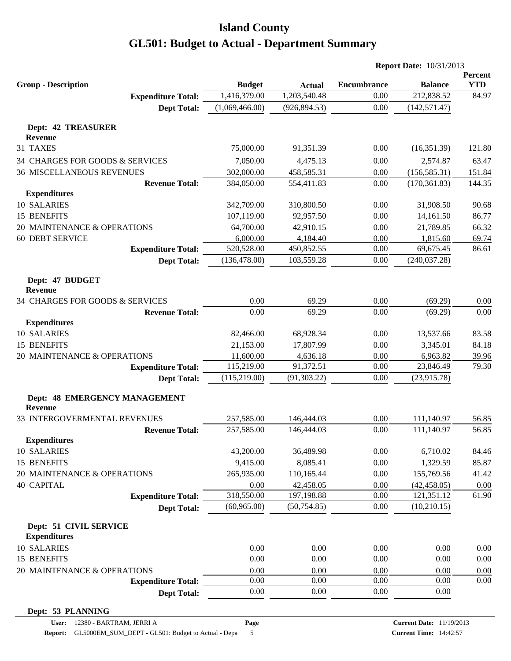|                                                   |                |                | <b>Report Date: 10/31/2013</b> |                            |                       |
|---------------------------------------------------|----------------|----------------|--------------------------------|----------------------------|-----------------------|
| <b>Group - Description</b>                        | <b>Budget</b>  | <b>Actual</b>  | <b>Encumbrance</b>             | <b>Balance</b>             | Percent<br><b>YTD</b> |
| <b>Expenditure Total:</b>                         | 1,416,379.00   | 1,203,540.48   | 0.00                           | 212,838.52                 | 84.97                 |
| <b>Dept Total:</b>                                | (1,069,466.00) | (926, 894.53)  | 0.00                           | (142, 571.47)              |                       |
|                                                   |                |                |                                |                            |                       |
| <b>Dept: 42 TREASURER</b>                         |                |                |                                |                            |                       |
| <b>Revenue</b>                                    |                |                |                                |                            |                       |
| 31 TAXES                                          | 75,000.00      | 91,351.39      | 0.00                           | (16,351.39)                | 121.80                |
| 34 CHARGES FOR GOODS & SERVICES                   | 7,050.00       | 4,475.13       | 0.00                           | 2,574.87                   | 63.47                 |
| <b>36 MISCELLANEOUS REVENUES</b>                  | 302,000.00     | 458,585.31     | 0.00                           | (156, 585.31)              | 151.84                |
| <b>Revenue Total:</b>                             | 384,050.00     | 554,411.83     | 0.00                           | (170, 361.83)              | 144.35                |
| <b>Expenditures</b>                               |                |                |                                |                            |                       |
| 10 SALARIES                                       | 342,709.00     | 310,800.50     | 0.00                           | 31,908.50                  | 90.68                 |
| 15 BENEFITS                                       | 107,119.00     | 92,957.50      | 0.00                           | 14,161.50                  | 86.77                 |
| 20 MAINTENANCE & OPERATIONS                       | 64,700.00      | 42,910.15      | 0.00                           | 21,789.85                  | 66.32                 |
| <b>60 DEBT SERVICE</b>                            | 6,000.00       | 4,184.40       | 0.00                           | 1,815.60                   | 69.74                 |
| <b>Expenditure Total:</b>                         | 520,528.00     | 450,852.55     | 0.00                           | 69,675.45                  | 86.61                 |
| <b>Dept Total:</b>                                | (136, 478.00)  | 103,559.28     | 0.00                           | (240, 037.28)              |                       |
| Dept: 47 BUDGET                                   |                |                |                                |                            |                       |
| <b>Revenue</b><br>34 CHARGES FOR GOODS & SERVICES | 0.00           |                |                                |                            |                       |
|                                                   | 0.00           | 69.29<br>69.29 | 0.00<br>0.00                   | (69.29)<br>(69.29)         | 0.00<br>0.00          |
| <b>Revenue Total:</b>                             |                |                |                                |                            |                       |
| <b>Expenditures</b><br>10 SALARIES                |                |                |                                |                            |                       |
|                                                   | 82,466.00      | 68,928.34      | 0.00                           | 13,537.66                  | 83.58                 |
| 15 BENEFITS                                       | 21,153.00      | 17,807.99      | 0.00                           | 3,345.01                   | 84.18                 |
| 20 MAINTENANCE & OPERATIONS                       | 11,600.00      | 4,636.18       | 0.00                           | 6,963.82                   | 39.96                 |
| <b>Expenditure Total:</b>                         | 115,219.00     | 91,372.51      | 0.00                           | 23,846.49                  | 79.30                 |
| <b>Dept Total:</b>                                | (115, 219.00)  | (91, 303.22)   | 0.00                           | (23,915.78)                |                       |
| Dept: 48 EMERGENCY MANAGEMENT<br><b>Revenue</b>   |                |                |                                |                            |                       |
| 33 INTERGOVERMENTAL REVENUES                      | 257,585.00     | 146,444.03     | 0.00                           | 111,140.97                 | 56.85                 |
| <b>Revenue Total:</b>                             | 257,585.00     | 146,444.03     | 0.00                           | 111,140.97                 | 56.85                 |
| <b>Expenditures</b>                               |                |                |                                |                            |                       |
| 10 SALARIES                                       | 43,200.00      | 36,489.98      | 0.00                           | 6,710.02                   | 84.46                 |
| 15 BENEFITS                                       | 9,415.00       | 8,085.41       | 0.00                           | 1,329.59                   | 85.87                 |
| 20 MAINTENANCE & OPERATIONS                       | 265,935.00     | 110,165.44     | 0.00                           | 155,769.56                 | 41.42                 |
| <b>40 CAPITAL</b>                                 | 0.00           | 42,458.05      | 0.00                           |                            |                       |
| <b>Expenditure Total:</b>                         | 318,550.00     | 197,198.88     | 0.00                           | (42, 458.05)<br>121,351.12 | 0.00<br>61.90         |
|                                                   | (60, 965.00)   | (50, 754.85)   | 0.00                           | (10,210.15)                |                       |
| <b>Dept Total:</b>                                |                |                |                                |                            |                       |
| Dept: 51 CIVIL SERVICE                            |                |                |                                |                            |                       |
| <b>Expenditures</b>                               |                |                |                                |                            |                       |
| 10 SALARIES                                       | 0.00           | 0.00           | 0.00                           | 0.00                       | 0.00                  |
| 15 BENEFITS                                       | 0.00           | 0.00           | 0.00                           | 0.00                       | 0.00                  |
| 20 MAINTENANCE & OPERATIONS                       | 0.00           | 0.00           | 0.00                           | 0.00                       | 0.00                  |
| <b>Expenditure Total:</b>                         | 0.00           | 0.00           | 0.00                           | 0.00                       | 0.00                  |
| <b>Dept Total:</b>                                | 0.00           | 0.00           | 0.00                           | 0.00                       |                       |
| Dept: 53 PLANNING                                 |                |                |                                |                            |                       |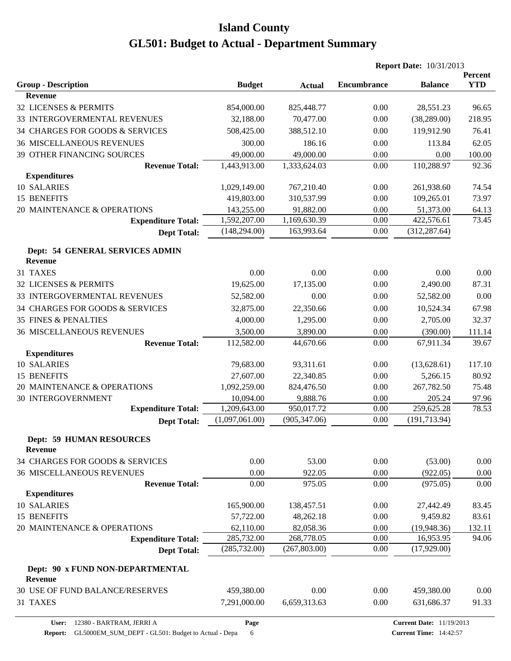|                                                     |                |               | <b>Report Date: 10/31/2013</b> |                |                              |
|-----------------------------------------------------|----------------|---------------|--------------------------------|----------------|------------------------------|
|                                                     |                |               | <b>Encumbrance</b>             | <b>Balance</b> | <b>Percent</b><br><b>YTD</b> |
| <b>Group - Description</b><br><b>Revenue</b>        | <b>Budget</b>  | <b>Actual</b> |                                |                |                              |
| 32 LICENSES & PERMITS                               | 854,000.00     | 825,448.77    | 0.00                           | 28,551.23      | 96.65                        |
| 33 INTERGOVERMENTAL REVENUES                        | 32,188.00      | 70,477.00     | 0.00                           | (38, 289.00)   | 218.95                       |
| 34 CHARGES FOR GOODS & SERVICES                     | 508,425.00     | 388,512.10    | 0.00                           | 119,912.90     | 76.41                        |
| 36 MISCELLANEOUS REVENUES                           | 300.00         | 186.16        | 0.00                           | 113.84         | 62.05                        |
|                                                     | 49,000.00      | 49,000.00     | 0.00                           | 0.00           | 100.00                       |
| 39 OTHER FINANCING SOURCES<br><b>Revenue Total:</b> | 1,443,913.00   | 1,333,624.03  | 0.00                           | 110,288.97     | 92.36                        |
| <b>Expenditures</b>                                 |                |               |                                |                |                              |
| 10 SALARIES                                         | 1,029,149.00   | 767,210.40    | 0.00                           | 261,938.60     | 74.54                        |
| 15 BENEFITS                                         | 419,803.00     | 310,537.99    | 0.00                           | 109,265.01     | 73.97                        |
| 20 MAINTENANCE & OPERATIONS                         | 143,255.00     | 91,882.00     | 0.00                           | 51,373.00      | 64.13                        |
| <b>Expenditure Total:</b>                           | 1,592,207.00   | 1,169,630.39  | 0.00                           | 422,576.61     | 73.45                        |
| <b>Dept Total:</b>                                  | (148, 294.00)  | 163,993.64    | 0.00                           | (312, 287.64)  |                              |
| Dept: 54 GENERAL SERVICES ADMIN<br><b>Revenue</b>   |                |               |                                |                |                              |
| 31 TAXES                                            | 0.00           | 0.00          | 0.00                           | 0.00           | 0.00                         |
| 32 LICENSES & PERMITS                               | 19,625.00      | 17,135.00     | 0.00                           | 2,490.00       | 87.31                        |
| 33 INTERGOVERMENTAL REVENUES                        | 52,582.00      | 0.00          | 0.00                           | 52,582.00      | 0.00                         |
| 34 CHARGES FOR GOODS & SERVICES                     | 32,875.00      | 22,350.66     | 0.00                           | 10,524.34      | 67.98                        |
| <b>35 FINES &amp; PENALTIES</b>                     | 4,000.00       | 1,295.00      | 0.00                           | 2,705.00       | 32.37                        |
| <b>36 MISCELLANEOUS REVENUES</b>                    | 3,500.00       | 3,890.00      | 0.00                           | (390.00)       | 111.14                       |
| <b>Revenue Total:</b>                               | 112,582.00     | 44,670.66     | 0.00                           | 67,911.34      | 39.67                        |
| <b>Expenditures</b>                                 |                |               |                                |                |                              |
| 10 SALARIES                                         | 79,683.00      | 93,311.61     | 0.00                           | (13,628.61)    | 117.10                       |
| 15 BENEFITS                                         | 27,607.00      | 22,340.85     | 0.00                           | 5,266.15       | 80.92                        |
| 20 MAINTENANCE & OPERATIONS                         | 1,092,259.00   | 824,476.50    | 0.00                           | 267,782.50     | 75.48                        |
| 30 INTERGOVERNMENT                                  | 10,094.00      | 9,888.76      | 0.00                           | 205.24         | 97.96                        |
| <b>Expenditure Total:</b>                           | 1,209,643.00   | 950,017.72    | 0.00                           | 259,625.28     | 78.53                        |
| <b>Dept Total:</b>                                  | (1,097,061.00) | (905, 347.06) | 0.00                           | (191, 713.94)  |                              |
| <b>Dept: 59 HUMAN RESOURCES</b><br><b>Revenue</b>   |                |               |                                |                |                              |
| 34 CHARGES FOR GOODS & SERVICES                     | 0.00           | 53.00         | 0.00                           | (53.00)        | 0.00                         |
| <b>36 MISCELLANEOUS REVENUES</b>                    | 0.00           | 922.05        | 0.00                           | (922.05)       | 0.00                         |
| <b>Revenue Total:</b>                               | 0.00           | 975.05        | 0.00                           | (975.05)       | 0.00                         |
| <b>Expenditures</b>                                 |                |               |                                |                |                              |
| 10 SALARIES                                         | 165,900.00     | 138,457.51    | 0.00                           | 27,442.49      | 83.45                        |
| 15 BENEFITS                                         | 57,722.00      | 48,262.18     | 0.00                           | 9,459.82       | 83.61                        |
| 20 MAINTENANCE & OPERATIONS                         | 62,110.00      | 82,058.36     | 0.00                           | (19, 948.36)   | 132.11                       |
| <b>Expenditure Total:</b>                           | 285,732.00     | 268,778.05    | 0.00                           | 16,953.95      | 94.06                        |
| <b>Dept Total:</b>                                  | (285, 732.00)  | (267, 803.00) | 0.00                           | (17,929.00)    |                              |
| Dept: 90 x FUND NON-DEPARTMENTAL<br><b>Revenue</b>  |                |               |                                |                |                              |
| 30 USE OF FUND BALANCE/RESERVES                     | 459,380.00     | 0.00          | 0.00                           | 459,380.00     | 0.00                         |
| 31 TAXES                                            | 7,291,000.00   | 6,659,313.63  | 0.00                           | 631,686.37     | 91.33                        |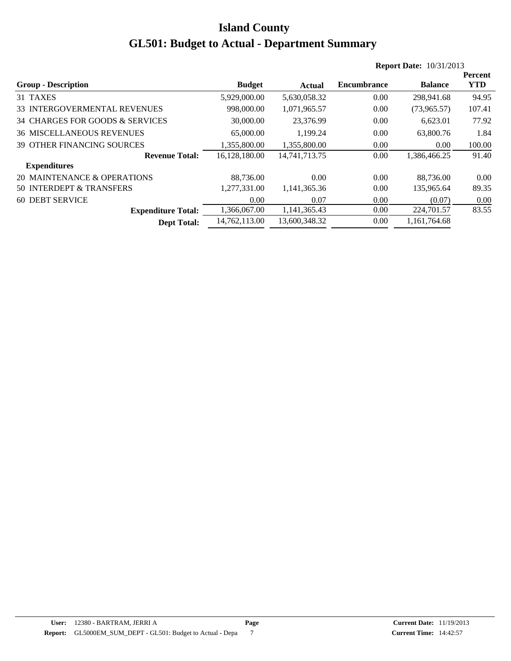|                                   |               |                  |                    | <b>Report Date: 10/31/2013</b> |            |
|-----------------------------------|---------------|------------------|--------------------|--------------------------------|------------|
|                                   |               |                  |                    |                                | Percent    |
| <b>Group - Description</b>        | <b>Budget</b> | Actual           | <b>Encumbrance</b> | <b>Balance</b>                 | <b>YTD</b> |
| 31 TAXES                          | 5,929,000.00  | 5,630,058.32     | 0.00               | 298,941.68                     | 94.95      |
| 33 INTERGOVERMENTAL REVENUES      | 998,000.00    | 1,071,965.57     | 0.00               | (73,965.57)                    | 107.41     |
| 34 CHARGES FOR GOODS & SERVICES   | 30,000.00     | 23.376.99        | 0.00               | 6.623.01                       | 77.92      |
| <b>36 MISCELLANEOUS REVENUES</b>  | 65,000.00     | 1,199.24         | 0.00               | 63,800.76                      | 1.84       |
| <b>39 OTHER FINANCING SOURCES</b> | 1,355,800.00  | 1.355.800.00     | 0.00               | 0.00                           | 100.00     |
| <b>Revenue Total:</b>             | 16.128.180.00 | 14, 741, 713. 75 | 0.00               | 1,386,466.25                   | 91.40      |
| <b>Expenditures</b>               |               |                  |                    |                                |            |
| 20 MAINTENANCE & OPERATIONS       | 88,736.00     | 0.00             | 0.00               | 88,736.00                      | 0.00       |
| 50 INTERDEPT & TRANSFERS          | 1,277,331.00  | 1,141,365.36     | 0.00               | 135,965.64                     | 89.35      |
| <b>60 DEBT SERVICE</b>            | 0.00          | 0.07             | 0.00               | (0.07)                         | 0.00       |
| <b>Expenditure Total:</b>         | 1,366,067.00  | 1,141,365.43     | 0.00               | 224,701.57                     | 83.55      |
| <b>Dept Total:</b>                | 14.762.113.00 | 13,600,348.32    | 0.00               | 1.161.764.68                   |            |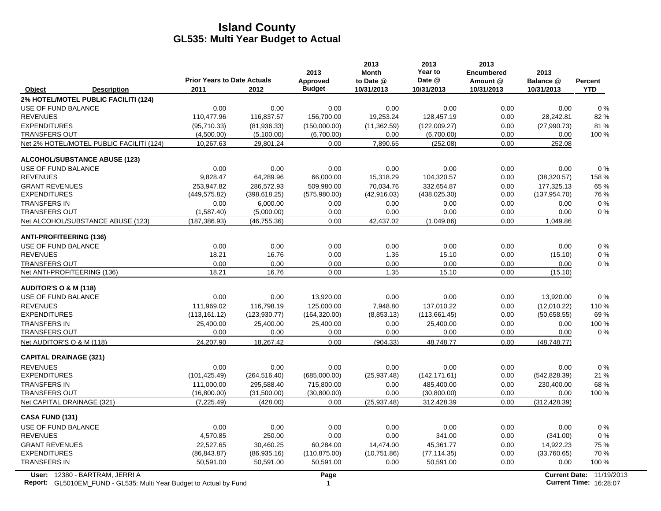|                                                                                                      | <b>Prior Years to Date Actuals</b> |               | 2013<br><b>Approved</b> | 2013<br><b>Month</b><br>to Date @ | 2013<br>Year to<br>Date @ | 2013<br><b>Encumbered</b><br>Amount @ | 2013<br>Balance @ | <b>Percent</b>                                            |
|------------------------------------------------------------------------------------------------------|------------------------------------|---------------|-------------------------|-----------------------------------|---------------------------|---------------------------------------|-------------------|-----------------------------------------------------------|
| Object<br><b>Description</b>                                                                         | 2011                               | 2012          | <b>Budget</b>           | 10/31/2013                        | 10/31/2013                | 10/31/2013                            | 10/31/2013        | <b>YTD</b>                                                |
| 2% HOTEL/MOTEL PUBLIC FACILITI (124)                                                                 |                                    |               |                         |                                   |                           |                                       |                   |                                                           |
| <b>USE OF FUND BALANCE</b>                                                                           | 0.00                               | 0.00          | 0.00                    | 0.00                              | 0.00                      | 0.00                                  | 0.00              | $0\%$                                                     |
| <b>REVENUES</b>                                                                                      | 110,477.96                         | 116,837.57    | 156,700.00              | 19,253.24                         | 128,457.19                | 0.00                                  | 28,242.81         | 82%                                                       |
| <b>EXPENDITURES</b>                                                                                  | (95,710.33)                        | (81,936.33)   | (150,000.00)            | (11, 362.59)                      | (122,009.27)              | 0.00                                  | (27,990.73)       | 81%                                                       |
| <b>TRANSFERS OUT</b>                                                                                 | (4,500.00)                         | (5,100.00)    | (6,700.00)              | 0.00                              | (6,700.00)                | 0.00                                  | 0.00              | 100 %                                                     |
| Net 2% HOTEL/MOTEL PUBLIC FACILITI (124)                                                             | 10,267.63                          | 29,801.24     | 0.00                    | 7,890.65                          | (252.08)                  | 0.00                                  | 252.08            |                                                           |
| <b>ALCOHOL/SUBSTANCE ABUSE (123)</b>                                                                 |                                    |               |                         |                                   |                           |                                       |                   |                                                           |
| USE OF FUND BALANCE                                                                                  | 0.00                               | 0.00          | 0.00                    | 0.00                              | 0.00                      | 0.00                                  | 0.00              | 0%                                                        |
| <b>REVENUES</b>                                                                                      | 9,828.47                           | 64,289.96     | 66,000.00               | 15,318.29                         | 104,320.57                | 0.00                                  | (38, 320.57)      | 158 %                                                     |
| <b>GRANT REVENUES</b>                                                                                | 253,947.82                         | 286,572.93    | 509,980.00              | 70,034.76                         | 332,654.87                | 0.00                                  | 177,325.13        | 65 %                                                      |
| <b>EXPENDITURES</b>                                                                                  | (449, 575.82)                      | (398, 618.25) | (575,980.00)            | (42, 916.03)                      | (438, 025.30)             | 0.00                                  | (137, 954.70)     | 76 %                                                      |
| <b>TRANSFERS IN</b>                                                                                  | 0.00                               | 6,000.00      | 0.00                    | 0.00                              | 0.00                      | 0.00                                  | 0.00              | $0\%$                                                     |
| <b>TRANSFERS OUT</b>                                                                                 | (1,587.40)                         | (5,000.00)    | 0.00                    | 0.00                              | 0.00                      | 0.00                                  | 0.00              | $0\%$                                                     |
| Net ALCOHOL/SUBSTANCE ABUSE (123)                                                                    | (187, 386.93)                      | (46, 755.36)  | 0.00                    | 42,437.02                         | (1,049.86)                | 0.00                                  | 1,049.86          |                                                           |
| <b>ANTI-PROFITEERING (136)</b>                                                                       |                                    |               |                         |                                   |                           |                                       |                   |                                                           |
| <b>USE OF FUND BALANCE</b>                                                                           | 0.00                               | 0.00          | 0.00                    | 0.00                              | 0.00                      | 0.00                                  | 0.00              | 0%                                                        |
| <b>REVENUES</b>                                                                                      | 18.21                              | 16.76         | 0.00                    | 1.35                              | 15.10                     | 0.00                                  | (15.10)           | $0\%$                                                     |
| <b>TRANSFERS OUT</b>                                                                                 | 0.00                               | 0.00          | 0.00                    | 0.00                              | 0.00                      | 0.00                                  | 0.00              | $0\%$                                                     |
| Net ANTI-PROFITEERING (136)                                                                          | 18.21                              | 16.76         | 0.00                    | 1.35                              | 15.10                     | 0.00                                  | (15.10)           |                                                           |
| <b>AUDITOR'S O &amp; M (118)</b>                                                                     |                                    |               |                         |                                   |                           |                                       |                   |                                                           |
| USE OF FUND BALANCE                                                                                  | 0.00                               | 0.00          | 13,920.00               | 0.00                              | 0.00                      | 0.00                                  | 13,920.00         | $0\%$                                                     |
| <b>REVENUES</b>                                                                                      | 111,969.02                         | 116,798.19    | 125,000.00              | 7,948.80                          | 137,010.22                | 0.00                                  | (12,010.22)       | 110 %                                                     |
| <b>EXPENDITURES</b>                                                                                  | (113, 161.12)                      | (123, 930.77) | (164, 320.00)           | (8,853.13)                        | (113,661.45)              | 0.00                                  | (50,658.55)       | 69%                                                       |
| <b>TRANSFERS IN</b>                                                                                  | 25,400.00                          | 25,400.00     | 25,400.00               | 0.00                              | 25,400.00                 | 0.00                                  | 0.00              | 100 %                                                     |
| <b>TRANSFERS OUT</b>                                                                                 | 0.00                               | 0.00          | 0.00                    | 0.00                              | 0.00                      | 0.00                                  | 0.00              | $0\%$                                                     |
| Net AUDITOR'S O & M (118)                                                                            | 24.207.90                          | 18,267.42     | 0.00                    | (904.33)                          | 48,748.77                 | 0.00                                  | (48, 748.77)      |                                                           |
| <b>CAPITAL DRAINAGE (321)</b>                                                                        |                                    |               |                         |                                   |                           |                                       |                   |                                                           |
| <b>REVENUES</b>                                                                                      | 0.00                               | 0.00          | 0.00                    | 0.00                              | 0.00                      | 0.00                                  | 0.00              | $0\%$                                                     |
| <b>EXPENDITURES</b>                                                                                  | (101, 425.49)                      | (264, 516.40) | (685,000.00)            | (25, 937.48)                      | (142, 171.61)             | 0.00                                  | (542, 828.39)     | 21 %                                                      |
| <b>TRANSFERS IN</b>                                                                                  | 111,000.00                         | 295,588.40    | 715,800.00              | 0.00                              | 485,400.00                | 0.00                                  | 230,400.00        | 68 %                                                      |
| <b>TRANSFERS OUT</b>                                                                                 | (16,800.00)                        | (31,500.00)   | (30,800.00)             | 0.00                              | (30,800.00)               | 0.00                                  | 0.00              | 100 %                                                     |
| Net CAPITAL DRAINAGE (321)                                                                           | (7, 225.49)                        | (428.00)      | 0.00                    | (25, 937.48)                      | 312,428.39                | 0.00                                  | (312, 428.39)     |                                                           |
| <b>CASA FUND (131)</b>                                                                               |                                    |               |                         |                                   |                           |                                       |                   |                                                           |
| <b>USE OF FUND BALANCE</b>                                                                           | 0.00                               | 0.00          | 0.00                    | 0.00                              | 0.00                      | 0.00                                  | 0.00              | $0\%$                                                     |
| <b>REVENUES</b>                                                                                      | 4,570.85                           | 250.00        | 0.00                    | 0.00                              | 341.00                    | 0.00                                  | (341.00)          | 0%                                                        |
| <b>GRANT REVENUES</b>                                                                                | 22,527.65                          | 30,460.25     | 60,284.00               | 14,474.00                         | 45,361.77                 | 0.00                                  | 14,922.23         | 75 %                                                      |
| <b>EXPENDITURES</b>                                                                                  | (86, 843.87)                       | (86,935.16)   | (110, 875.00)           | (10,751.86)                       | (77, 114.35)              | 0.00                                  | (33,760.65)       | 70 %                                                      |
| <b>TRANSFERS IN</b>                                                                                  | 50,591.00                          | 50,591.00     | 50,591.00               | 0.00                              | 50,591.00                 | 0.00                                  | 0.00              | 100 %                                                     |
| User: 12380 - BARTRAM, JERRI A<br>Report: GL5010EM FUND - GL535: Multi Year Budget to Actual by Fund |                                    |               | Page<br>$\mathbf{1}$    |                                   |                           |                                       |                   | Current Date: 11/19/2013<br><b>Current Time: 16:28:07</b> |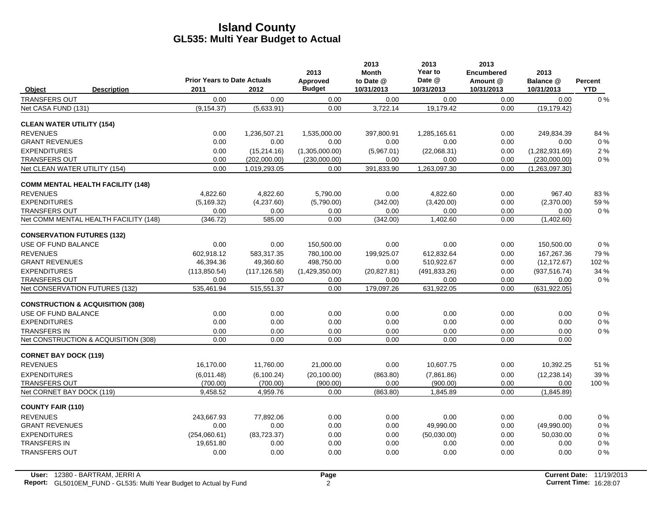|                                             | <b>Prior Years to Date Actuals</b> |               | 2013<br>Approved | 2013<br><b>Month</b><br>to Date @ | 2013<br>Year to<br>Date @ | 2013<br><b>Encumbered</b><br>Amount @ | 2013<br>Balance @ | Percent    |
|---------------------------------------------|------------------------------------|---------------|------------------|-----------------------------------|---------------------------|---------------------------------------|-------------------|------------|
| Object<br><b>Description</b>                | 2011                               | 2012          | <b>Budget</b>    | 10/31/2013                        | 10/31/2013                | 10/31/2013                            | 10/31/2013        | <b>YTD</b> |
| <b>TRANSFERS OUT</b>                        | 0.00                               | 0.00          | 0.00             | 0.00                              | 0.00                      | 0.00                                  | 0.00              | $0\%$      |
| Net CASA FUND (131)                         | (9, 154.37)                        | (5,633.91)    | 0.00             | 3,722.14                          | 19,179.42                 | 0.00                                  | (19, 179.42)      |            |
| <b>CLEAN WATER UTILITY (154)</b>            |                                    |               |                  |                                   |                           |                                       |                   |            |
| <b>REVENUES</b>                             | 0.00                               | 1,236,507.21  | 1,535,000.00     | 397.800.91                        | 1,285,165.61              | 0.00                                  | 249.834.39        | 84 %       |
| <b>GRANT REVENUES</b>                       | 0.00                               | 0.00          | 0.00             | 0.00                              | 0.00                      | 0.00                                  | 0.00              | 0%         |
| <b>EXPENDITURES</b>                         | 0.00                               | (15, 214.16)  | (1,305,000.00)   | (5,967.01)                        | (22,068.31)               | 0.00                                  | (1,282,931.69)    | 2 %        |
| <b>TRANSFERS OUT</b>                        | 0.00                               | (202,000.00)  | (230,000.00)     | 0.00                              | 0.00                      | 0.00                                  | (230,000.00)      | $0\%$      |
| Net CLEAN WATER UTILITY (154)               | 0.00                               | 1,019,293.05  | 0.00             | 391,833.90                        | 1,263,097.30              | 0.00                                  | (1,263,097.30)    |            |
| <b>COMM MENTAL HEALTH FACILITY (148)</b>    |                                    |               |                  |                                   |                           |                                       |                   |            |
| <b>REVENUES</b>                             | 4.822.60                           | 4.822.60      | 5.790.00         | 0.00                              | 4.822.60                  | 0.00                                  | 967.40            | 83%        |
| <b>EXPENDITURES</b>                         | (5, 169.32)                        | (4,237.60)    | (5,790.00)       | (342.00)                          | (3,420.00)                | 0.00                                  | (2,370.00)        | 59 %       |
| <b>TRANSFERS OUT</b>                        | 0.00                               | 0.00          | 0.00             | 0.00                              | 0.00                      | 0.00                                  | 0.00              | 0%         |
| Net COMM MENTAL HEALTH FACILITY (148)       | (346.72)                           | 585.00        | 0.00             | (342.00)                          | 1,402.60                  | 0.00                                  | (1,402.60)        |            |
| <b>CONSERVATION FUTURES (132)</b>           |                                    |               |                  |                                   |                           |                                       |                   |            |
| USE OF FUND BALANCE                         | 0.00                               | 0.00          | 150,500.00       | 0.00                              | 0.00                      | 0.00                                  | 150,500.00        | $0\%$      |
| <b>REVENUES</b>                             | 602.918.12                         | 583,317.35    | 780,100.00       | 199,925.07                        | 612,832.64                | 0.00                                  | 167,267.36        | 79%        |
| <b>GRANT REVENUES</b>                       | 46,394.36                          | 49,360.60     | 498,750.00       | 0.00                              | 510,922.67                | 0.00                                  | (12, 172.67)      | 102 %      |
| <b>EXPENDITURES</b>                         | (113, 850.54)                      | (117, 126.58) | (1,429,350.00)   | (20, 827.81)                      | (491, 833.26)             | 0.00                                  | (937, 516.74)     | 34 %       |
| <b>TRANSFERS OUT</b>                        | 0.00                               | 0.00          | 0.00             | 0.00                              | 0.00                      | 0.00                                  | 0.00              | $0\%$      |
| Net CONSERVATION FUTURES (132)              | 535,461.94                         | 515,551.37    | 0.00             | 179,097.26                        | 631,922.05                | 0.00                                  | (631, 922.05)     |            |
| <b>CONSTRUCTION &amp; ACQUISITION (308)</b> |                                    |               |                  |                                   |                           |                                       |                   |            |
| USE OF FUND BALANCE                         | 0.00                               | 0.00          | 0.00             | 0.00                              | 0.00                      | 0.00                                  | 0.00              | 0%         |
| <b>EXPENDITURES</b>                         | 0.00                               | 0.00          | 0.00             | 0.00                              | 0.00                      | 0.00                                  | 0.00              | $0\%$      |
| <b>TRANSFERS IN</b>                         | 0.00                               | 0.00          | 0.00             | 0.00                              | 0.00                      | 0.00                                  | 0.00              | $0\%$      |
| Net CONSTRUCTION & ACQUISITION (308)        | 0.00                               | 0.00          | 0.00             | 0.00                              | 0.00                      | 0.00                                  | 0.00              |            |
| <b>CORNET BAY DOCK (119)</b>                |                                    |               |                  |                                   |                           |                                       |                   |            |
| <b>REVENUES</b>                             | 16,170.00                          | 11,760.00     | 21,000.00        | 0.00                              | 10,607.75                 | 0.00                                  | 10,392.25         | 51 %       |
| <b>EXPENDITURES</b>                         | (6,011.48)                         | (6, 100.24)   | (20, 100.00)     | (863.80)                          | (7,861.86)                | 0.00                                  | (12, 238.14)      | 39 %       |
| <b>TRANSFERS OUT</b>                        | (700.00)                           | (700.00)      | (900.00)         | 0.00                              | (900.00)                  | 0.00                                  | 0.00              | 100 %      |
| Net CORNET BAY DOCK (119)                   | 9,458.52                           | 4,959.76      | 0.00             | (863.80)                          | 1,845.89                  | 0.00                                  | (1,845.89)        |            |
| <b>COUNTY FAIR (110)</b>                    |                                    |               |                  |                                   |                           |                                       |                   |            |
| <b>REVENUES</b>                             | 243,667.93                         | 77,892.06     | 0.00             | 0.00                              | 0.00                      | 0.00                                  | 0.00              | $0\%$      |
| <b>GRANT REVENUES</b>                       | 0.00                               | 0.00          | 0.00             | 0.00                              | 49,990.00                 | 0.00                                  | (49,990.00)       | $0\%$      |
| <b>EXPENDITURES</b>                         | (254,060.61)                       | (83, 723.37)  | 0.00             | 0.00                              | (50,030.00)               | 0.00                                  | 50,030.00         | $0\%$      |
| <b>TRANSFERS IN</b>                         | 19,651.80                          | 0.00          | 0.00             | 0.00                              | 0.00                      | 0.00                                  | 0.00              | $0\%$      |
| <b>TRANSFERS OUT</b>                        | 0.00                               | 0.00          | 0.00             | 0.00                              | 0.00                      | 0.00                                  | 0.00              | $0\%$      |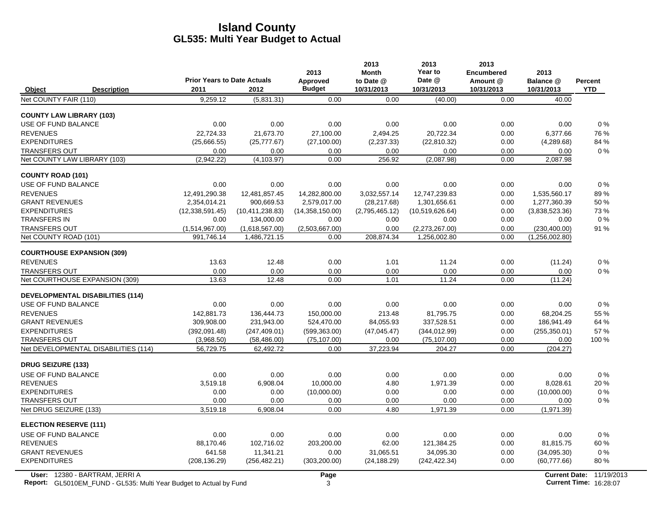|                                               |                    |                                    |                                | 2013                   | 2013<br><b>Month</b> | 2013<br>Year to                | 2013<br><b>Encumbered</b> | 2013                            |              |
|-----------------------------------------------|--------------------|------------------------------------|--------------------------------|------------------------|----------------------|--------------------------------|---------------------------|---------------------------------|--------------|
|                                               |                    | <b>Prior Years to Date Actuals</b> |                                | Approved               | to Date @            | Date @                         | Amount @                  | Balance @                       | Percent      |
| Object                                        | <b>Description</b> | 2011                               | 2012                           | <b>Budget</b>          | 10/31/2013           | 10/31/2013                     | 10/31/2013                | 10/31/2013                      | <b>YTD</b>   |
| Net COUNTY FAIR (110)                         |                    | 9,259.12                           | (5,831.31)                     | 0.00                   | 0.00                 | (40.00)                        | 0.00                      | 40.00                           |              |
| <b>COUNTY LAW LIBRARY (103)</b>               |                    |                                    |                                |                        |                      |                                |                           |                                 |              |
| USE OF FUND BALANCE                           |                    | 0.00                               | 0.00                           | 0.00                   | 0.00                 | 0.00                           | 0.00                      | 0.00                            | 0%           |
| <b>REVENUES</b>                               |                    | 22,724.33                          | 21,673.70                      | 27,100.00              | 2,494.25             | 20,722.34                      | 0.00                      | 6,377.66                        | 76 %         |
| <b>EXPENDITURES</b>                           |                    | (25,666.55)                        | (25, 777.67)                   | (27, 100.00)           | (2, 237.33)          | (22, 810.32)                   | 0.00                      | (4,289.68)                      | 84 %         |
| <b>TRANSFERS OUT</b>                          |                    | 0.00                               | 0.00                           | 0.00                   | 0.00                 | 0.00                           | 0.00                      | 0.00                            | $0\%$        |
| Net COUNTY LAW LIBRARY (103)                  |                    | (2,942.22)                         | (4,103.97)                     | 0.00                   | 256.92               | (2,087.98)                     | 0.00                      | 2,087.98                        |              |
| <b>COUNTY ROAD (101)</b>                      |                    |                                    |                                |                        |                      |                                |                           |                                 |              |
| USE OF FUND BALANCE                           |                    | 0.00                               | 0.00                           | 0.00                   | 0.00                 | 0.00                           | 0.00                      | 0.00                            | 0%           |
| <b>REVENUES</b>                               |                    | 12.491.290.38                      | 12.481.857.45                  | 14.282.800.00          | 3,032,557.14         | 12.747.239.83                  | 0.00                      | 1.535.560.17                    | 89%          |
| <b>GRANT REVENUES</b>                         |                    | 2,354,014.21                       | 900,669.53                     | 2,579,017.00           | (28, 217.68)         | 1,301,656.61                   | 0.00                      | 1,277,360.39                    | 50%          |
| <b>EXPENDITURES</b>                           |                    | (12,338,591.45)                    | (10, 411, 238.83)              | (14,358,150.00)        | (2,795,465.12)       | (10,519,626.64)                | 0.00                      | (3,838,523.36)                  | 73%          |
| <b>TRANSFERS IN</b>                           |                    | 0.00                               | 134,000.00                     | 0.00                   | 0.00                 | 0.00                           | 0.00                      | 0.00                            | $0\%$<br>91% |
| <b>TRANSFERS OUT</b><br>Net COUNTY ROAD (101) |                    | (1,514,967.00)<br>991,746.14       | (1,618,567.00)<br>1,486,721.15 | (2.503.667.00)<br>0.00 | 0.00<br>208,874.34   | (2,273,267.00)<br>1,256,002.80 | 0.00<br>0.00              | (230, 400.00)<br>(1,256,002.80) |              |
|                                               |                    |                                    |                                |                        |                      |                                |                           |                                 |              |
| <b>COURTHOUSE EXPANSION (309)</b>             |                    |                                    |                                |                        |                      |                                |                           |                                 |              |
| <b>REVENUES</b>                               |                    | 13.63                              | 12.48                          | 0.00                   | 1.01                 | 11.24                          | 0.00                      | (11.24)                         | $0\%$        |
| <b>TRANSFERS OUT</b>                          |                    | 0.00                               | 0.00                           | 0.00                   | 0.00                 | 0.00                           | 0.00                      | 0.00                            | $0\%$        |
| Net COURTHOUSE EXPANSION (309)                |                    | 13.63                              | 12.48                          | 0.00                   | 1.01                 | 11.24                          | 0.00                      | (11.24)                         |              |
| <b>DEVELOPMENTAL DISABILITIES (114)</b>       |                    |                                    |                                |                        |                      |                                |                           |                                 |              |
| USE OF FUND BALANCE                           |                    | 0.00                               | 0.00                           | 0.00                   | 0.00                 | 0.00                           | 0.00                      | 0.00                            | $0\%$        |
| <b>REVENUES</b>                               |                    | 142.881.73                         | 136.444.73                     | 150.000.00             | 213.48               | 81.795.75                      | 0.00                      | 68.204.25                       | 55 %         |
| <b>GRANT REVENUES</b>                         |                    | 309.908.00                         | 231,943.00                     | 524,470.00             | 84,055.93            | 337,528.51                     | 0.00                      | 186,941.49                      | 64 %         |
| <b>EXPENDITURES</b>                           |                    | (392,091.48)                       | (247, 409.01)                  | (599, 363.00)          | (47, 045.47)         | (344, 012.99)                  | 0.00                      | (255, 350.01)                   | 57 %         |
| <b>TRANSFERS OUT</b>                          |                    | (3,968.50)                         | (58, 486.00)                   | (75, 107.00)           | 0.00                 | (75, 107.00)                   | 0.00                      | 0.00                            | 100 %        |
| Net DEVELOPMENTAL DISABILITIES (114)          |                    | 56,729.75                          | 62,492.72                      | 0.00                   | 37,223.94            | 204.27                         | 0.00                      | (204.27)                        |              |
| <b>DRUG SEIZURE (133)</b>                     |                    |                                    |                                |                        |                      |                                |                           |                                 |              |
| USE OF FUND BALANCE                           |                    | 0.00                               | 0.00                           | 0.00                   | 0.00                 | 0.00                           | 0.00                      | 0.00                            | 0%           |
| <b>REVENUES</b>                               |                    | 3.519.18                           | 6.908.04                       | 10.000.00              | 4.80                 | 1.971.39                       | 0.00                      | 8,028.61                        | 20 %         |
| <b>EXPENDITURES</b>                           |                    | 0.00                               | 0.00                           | (10,000.00)            | 0.00                 | 0.00                           | 0.00                      | (10,000.00)                     | $0\%$        |
| <b>TRANSFERS OUT</b>                          |                    | 0.00                               | 0.00                           | 0.00                   | 0.00                 | 0.00                           | 0.00                      | 0.00                            | $0\%$        |
| Net DRUG SEIZURE (133)                        |                    | 3,519.18                           | 6,908.04                       | 0.00                   | 4.80                 | 1,971.39                       | 0.00                      | (1,971.39)                      |              |
| <b>ELECTION RESERVE (111)</b>                 |                    |                                    |                                |                        |                      |                                |                           |                                 |              |
| USE OF FUND BALANCE                           |                    | 0.00                               | 0.00                           | 0.00                   | 0.00                 | 0.00                           | 0.00                      | 0.00                            | $0\%$        |
| <b>REVENUES</b>                               |                    | 88.170.46                          | 102,716.02                     | 203.200.00             | 62.00                | 121.384.25                     | 0.00                      | 81,815.75                       | 60 %         |
| <b>GRANT REVENUES</b>                         |                    | 641.58                             | 11,341.21                      | 0.00                   | 31,065.51            | 34,095.30                      | 0.00                      | (34,095.30)                     | 0%           |
| <b>EXPENDITURES</b>                           |                    | (208, 136.29)                      | (256, 482.21)                  | (303, 200.00)          | (24, 188.29)         | (242, 422.34)                  | 0.00                      | (60, 777.66)                    | 80%          |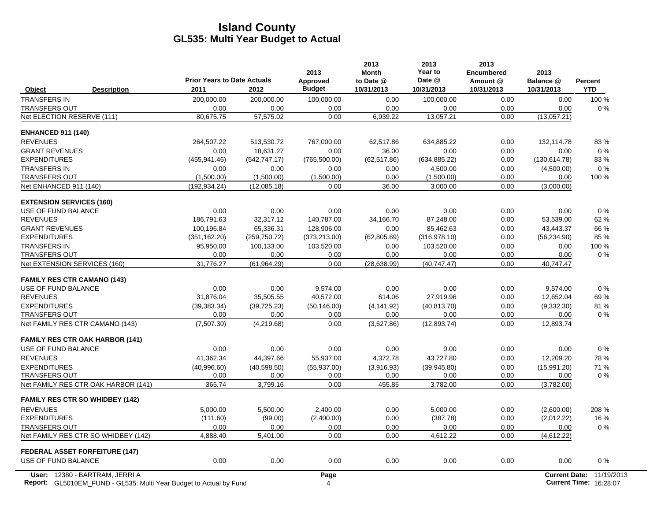|                                                             | <b>Prior Years to Date Actuals</b> |                  | 2013<br>Approved | 2013<br><b>Month</b><br>to Date @ | 2013<br>Year to<br>Date @ | 2013<br><b>Encumbered</b><br>Amount @ | 2013<br>Balance @    | Percent    |
|-------------------------------------------------------------|------------------------------------|------------------|------------------|-----------------------------------|---------------------------|---------------------------------------|----------------------|------------|
| Object<br><b>Description</b>                                | 2011                               | 2012             | <b>Budget</b>    | 10/31/2013                        | 10/31/2013                | 10/31/2013                            | 10/31/2013           | <b>YTD</b> |
| <b>TRANSFERS IN</b>                                         | 200,000.00                         | 200,000.00       | 100,000.00       | 0.00                              | 100,000.00                | 0.00                                  | 0.00                 | 100 %      |
| <b>TRANSFERS OUT</b>                                        | 0.00                               | 0.00             | 0.00             | 0.00                              | 0.00                      | 0.00                                  | 0.00                 | 0%         |
| Net ELECTION RESERVE (111)                                  | 80,675.75                          | 57,575.02        | 0.00             | 6,939.22                          | 13,057.21                 | 0.00                                  | (13,057.21)          |            |
| <b>ENHANCED 911 (140)</b>                                   |                                    |                  |                  |                                   |                           |                                       |                      |            |
| <b>REVENUES</b>                                             | 264,507.22                         | 513,530.72       | 767,000.00       | 62,517.86                         | 634,885.22                | 0.00                                  | 132,114.78           | 83%        |
| <b>GRANT REVENUES</b>                                       | 0.00                               | 18.631.27        | 0.00             | 36.00                             | 0.00                      | 0.00                                  | 0.00                 | $0\%$      |
| <b>EXPENDITURES</b>                                         | (455, 941.46)                      | (542, 747.17)    | (765, 500.00)    | (62, 517.86)                      | (634, 885.22)             | 0.00                                  | (130, 614.78)        | 83%        |
| <b>TRANSFERS IN</b>                                         | 0.00                               | 0.00             | 0.00             | 0.00                              | 4,500.00                  | 0.00                                  | (4,500.00)           | 0%         |
| <b>TRANSFERS OUT</b>                                        | (1,500.00)                         | (1,500.00)       | (1,500.00)       | 0.00                              | (1,500.00)                | 0.00                                  | 0.00                 | 100 %      |
| Net ENHANCED 911 (140)                                      | (192, 934.24)                      | (12,085.18)      | 0.00             | 36.00                             | 3,000.00                  | 0.00                                  | (3,000.00)           |            |
| <b>EXTENSION SERVICES (160)</b>                             |                                    |                  |                  |                                   |                           |                                       |                      |            |
| USE OF FUND BALANCE                                         | 0.00                               | 0.00             | 0.00             | 0.00                              | 0.00                      | 0.00                                  | 0.00                 | 0%         |
| <b>REVENUES</b>                                             | 186,791.63                         | 32,317.12        | 140,787.00       | 34.166.70                         | 87,248.00                 | 0.00                                  | 53,539.00            | 62%        |
| <b>GRANT REVENUES</b>                                       | 100.196.84                         | 65.336.31        | 128.906.00       | 0.00                              | 85.462.63                 | 0.00                                  | 43.443.37            | 66 %       |
| <b>EXPENDITURES</b>                                         | (351, 162.20)                      | (259, 750.72)    | (373, 213.00)    | (62, 805.69)                      | (316, 978.10)             | 0.00                                  | (56, 234.90)         | 85 %       |
| <b>TRANSFERS IN</b>                                         | 95,950.00                          | 100,133.00       | 103,520.00       | 0.00                              | 103,520.00                | 0.00                                  | 0.00                 | 100 %      |
| <b>TRANSFERS OUT</b>                                        | 0.00<br>31.776.27                  | 0.00             | 0.00<br>0.00     | 0.00                              | 0.00<br>(40.747.47)       | 0.00<br>0.00                          | 0.00                 | $0\%$      |
| Net EXTENSION SERVICES (160)                                |                                    | (61, 964.29)     |                  | (28, 638.99)                      |                           |                                       | 40,747.47            |            |
| <b>FAMILY RES CTR CAMANO (143)</b>                          |                                    |                  |                  |                                   |                           |                                       |                      |            |
| USE OF FUND BALANCE                                         | 0.00                               | 0.00             | 9,574.00         | 0.00                              | 0.00                      | 0.00                                  | 9,574.00             | 0%         |
| <b>REVENUES</b>                                             | 31,876.04                          | 35,505.55        | 40,572.00        | 614.06                            | 27,919.96                 | 0.00                                  | 12,652.04            | 69%        |
| <b>EXPENDITURES</b>                                         | (39, 383.34)                       | (39, 725.23)     | (50, 146.00)     | (4, 141.92)                       | (40, 813.70)              | 0.00                                  | (9,332.30)           | 81%        |
| <b>TRANSFERS OUT</b>                                        | 0.00                               | 0.00             | 0.00             | 0.00                              | 0.00                      | 0.00                                  | 0.00                 | 0%         |
| Net FAMILY RES CTR CAMANO (143)                             | (7,507.30)                         | (4,219.68)       | 0.00             | (3,527.86)                        | (12, 893.74)              | 0.00                                  | 12,893.74            |            |
| <b>FAMILY RES CTR OAK HARBOR (141)</b>                      |                                    |                  |                  |                                   |                           |                                       |                      |            |
| <b>USE OF FUND BALANCE</b>                                  | 0.00                               | 0.00             | 0.00             | 0.00                              | 0.00                      | 0.00                                  | 0.00                 | 0%         |
| <b>REVENUES</b>                                             | 41,362.34                          | 44,397.66        | 55,937.00        | 4,372.78                          | 43,727.80                 | 0.00                                  | 12,209.20            | 78 %       |
| <b>EXPENDITURES</b>                                         | (40,996.60)                        | (40,598.50)      | (55, 937.00)     | (3,916.93)                        | (39, 945.80)              | 0.00                                  | (15,991.20)          | 71 %       |
| <b>TRANSFERS OUT</b><br>Net FAMILY RES CTR OAK HARBOR (141) | 0.00<br>365.74                     | 0.00<br>3,799.16 | 0.00<br>0.00     | 0.00<br>455.85                    | 0.00<br>3,782.00          | 0.00<br>0.00                          | 0.00<br>(3,782.00)   | $0\%$      |
|                                                             |                                    |                  |                  |                                   |                           |                                       |                      |            |
| <b>FAMILY RES CTR SO WHIDBEY (142)</b>                      |                                    |                  |                  |                                   |                           |                                       |                      |            |
| <b>REVENUES</b>                                             | 5.000.00                           | 5.500.00         | 2.400.00         | 0.00                              | 5.000.00                  | 0.00                                  | (2,600.00)           | 208 %      |
| <b>EXPENDITURES</b>                                         | (111.60)                           | (99.00)          | (2,400.00)       | 0.00                              | (387.78)                  | 0.00                                  | (2,012.22)           | 16%        |
| <b>TRANSFERS OUT</b>                                        | 0.00                               | 0.00             | 0.00             | 0.00                              | 0.00                      | 0.00                                  | 0.00                 | 0%         |
| Net FAMILY RES CTR SO WHIDBEY (142)                         | 4,888.40                           | 5,401.00         | 0.00             | 0.00                              | 4,612.22                  | 0.00                                  | (4,612.22)           |            |
| <b>FEDERAL ASSET FORFEITURE (147)</b>                       |                                    |                  |                  |                                   |                           |                                       |                      |            |
| USE OF FUND BALANCE                                         | 0.00                               | 0.00             | 0.00             | 0.00                              | 0.00                      | 0.00                                  | 0.00                 | 0%         |
| User: 12380 - BARTRAM, JERRI A                              |                                    |                  | Page             |                                   |                           |                                       | <b>Current Date:</b> | 11/19/2013 |

**Report:** 4 **Current Time:** GL5010EM\_FUND - GL535: Multi Year Budget to Actual by Fund 16:28:07 16:28:07 16:28:07 16:28:07 16:28:07 16:28:07 16:28:07 16:28:07 16:28:07 16:28:07 16:28:07 16:28:07 16:28:07 16:28:07 16:28:07 16:28:07 16:28:07 16:28:07 1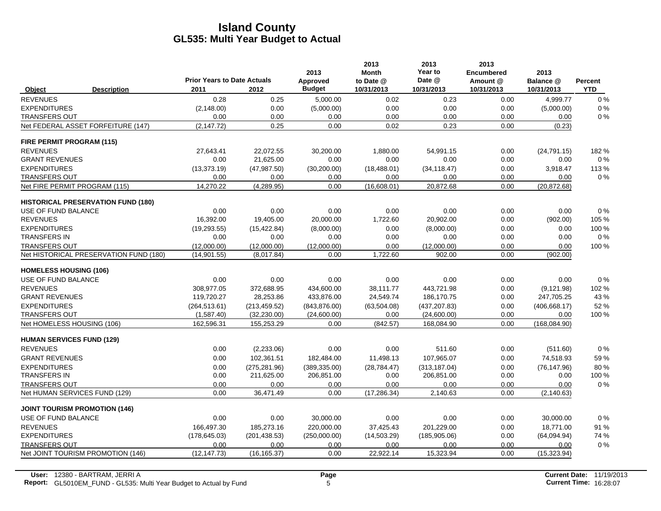|                                      |                                           | <b>Prior Years to Date Actuals</b> |               | 2013                      | 2013<br><b>Month</b>    | 2013<br>Year to<br>Date @ | 2013<br><b>Encumbered</b> | 2013                    |                       |
|--------------------------------------|-------------------------------------------|------------------------------------|---------------|---------------------------|-------------------------|---------------------------|---------------------------|-------------------------|-----------------------|
| Object                               | <b>Description</b>                        | 2011                               | 2012          | Approved<br><b>Budget</b> | to Date @<br>10/31/2013 | 10/31/2013                | Amount @<br>10/31/2013    | Balance @<br>10/31/2013 | Percent<br><b>YTD</b> |
| <b>REVENUES</b>                      |                                           | 0.28                               | 0.25          | 5,000.00                  | 0.02                    | 0.23                      | 0.00                      | 4,999.77                | 0%                    |
| <b>EXPENDITURES</b>                  |                                           | (2, 148.00)                        | 0.00          | (5,000.00)                | 0.00                    | 0.00                      | 0.00                      | (5,000.00)              | 0%                    |
| <b>TRANSFERS OUT</b>                 |                                           | 0.00                               | 0.00          | 0.00                      | 0.00                    | 0.00                      | 0.00                      | 0.00                    | $0\%$                 |
|                                      | Net FEDERAL ASSET FORFEITURE (147)        | (2, 147.72)                        | 0.25          | 0.00                      | 0.02                    | 0.23                      | 0.00                      | (0.23)                  |                       |
| FIRE PERMIT PROGRAM (115)            |                                           |                                    |               |                           |                         |                           |                           |                         |                       |
| <b>REVENUES</b>                      |                                           | 27,643.41                          | 22,072.55     | 30,200.00                 | 1,880.00                | 54,991.15                 | 0.00                      | (24,791.15)             | 182%                  |
| <b>GRANT REVENUES</b>                |                                           | 0.00                               | 21,625.00     | 0.00                      | 0.00                    | 0.00                      | 0.00                      | 0.00                    | 0%                    |
| <b>EXPENDITURES</b>                  |                                           | (13, 373, 19)                      | (47, 987.50)  | (30, 200.00)              | (18, 488.01)            | (34, 118.47)              | 0.00                      | 3,918.47                | 113%                  |
| <b>TRANSFERS OUT</b>                 |                                           | 0.00                               | 0.00          | 0.00                      | 0.00                    | 0.00                      | 0.00                      | 0.00                    | 0%                    |
| Net FIRE PERMIT PROGRAM (115)        |                                           | 14,270.22                          | (4,289.95)    | 0.00                      | (16,608.01)             | 20,872.68                 | 0.00                      | (20, 872.68)            |                       |
|                                      | <b>HISTORICAL PRESERVATION FUND (180)</b> |                                    |               |                           |                         |                           |                           |                         |                       |
| USE OF FUND BALANCE                  |                                           | 0.00                               | 0.00          | 0.00                      | 0.00                    | 0.00                      | 0.00                      | 0.00                    | 0%                    |
| <b>REVENUES</b>                      |                                           | 16,392.00                          | 19,405.00     | 20,000.00                 | 1,722.60                | 20,902.00                 | 0.00                      | (902.00)                | 105 %                 |
| <b>EXPENDITURES</b>                  |                                           | (19, 293.55)                       | (15, 422.84)  | (8,000.00)                | 0.00                    | (8,000.00)                | 0.00                      | 0.00                    | 100 %                 |
| <b>TRANSFERS IN</b>                  |                                           | 0.00                               | 0.00          | 0.00                      | 0.00                    | 0.00                      | 0.00                      | 0.00                    | 0%                    |
| <b>TRANSFERS OUT</b>                 |                                           | (12,000.00)                        | (12,000.00)   | (12,000.00)               | 0.00                    | (12,000.00)               | 0.00                      | 0.00                    | 100 %                 |
|                                      | Net HISTORICAL PRESERVATION FUND (180)    | (14, 901.55)                       | (8,017.84)    | 0.00                      | 1,722.60                | 902.00                    | 0.00                      | (902.00)                |                       |
| <b>HOMELESS HOUSING (106)</b>        |                                           |                                    |               |                           |                         |                           |                           |                         |                       |
| USE OF FUND BALANCE                  |                                           | 0.00                               | 0.00          | 0.00                      | 0.00                    | 0.00                      | 0.00                      | 0.00                    | 0%                    |
| <b>REVENUES</b>                      |                                           | 308.977.05                         | 372,688.95    | 434,600.00                | 38.111.77               | 443.721.98                | 0.00                      | (9, 121.98)             | 102 %                 |
| <b>GRANT REVENUES</b>                |                                           | 119,720.27                         | 28,253.86     | 433,876.00                | 24,549.74               | 186,170.75                | 0.00                      | 247,705.25              | 43 %                  |
| <b>EXPENDITURES</b>                  |                                           | (264, 513.61)                      | (213, 459.52) | (843, 876.00)             | (63, 504.08)            | (437, 207.83)             | 0.00                      | (406, 668.17)           | 52 %                  |
| TRANSFERS OUT                        |                                           | (1,587.40)                         | (32, 230.00)  | (24,600.00)               | 0.00                    | (24,600.00)               | 0.00                      | 0.00                    | 100 %                 |
| Net HOMELESS HOUSING (106)           |                                           | 162,596.31                         | 155,253.29    | 0.00                      | (842.57)                | 168,084.90                | 0.00                      | (168,084.90)            |                       |
| <b>HUMAN SERVICES FUND (129)</b>     |                                           |                                    |               |                           |                         |                           |                           |                         |                       |
| <b>REVENUES</b>                      |                                           | 0.00                               | (2,233.06)    | 0.00                      | 0.00                    | 511.60                    | 0.00                      | (511.60)                | 0%                    |
| <b>GRANT REVENUES</b>                |                                           | 0.00                               | 102,361.51    | 182,484.00                | 11,498.13               | 107,965.07                | 0.00                      | 74,518.93               | 59 %                  |
| <b>EXPENDITURES</b>                  |                                           | 0.00                               | (275, 281.96) | (389, 335.00)             | (28, 784.47)            | (313, 187.04)             | 0.00                      | (76, 147.96)            | 80%                   |
| <b>TRANSFERS IN</b>                  |                                           | 0.00                               | 211,625.00    | 206,851.00                | 0.00                    | 206,851.00                | 0.00                      | 0.00                    | 100 %                 |
| <b>TRANSFERS OUT</b>                 |                                           | 0.00                               | 0.00          | 0.00                      | 0.00                    | 0.00                      | 0.00                      | 0.00                    | $0\%$                 |
| Net HUMAN SERVICES FUND (129)        |                                           | 0.00                               | 36,471.49     | 0.00                      | (17, 286.34)            | 2,140.63                  | 0.00                      | (2, 140.63)             |                       |
| <b>JOINT TOURISM PROMOTION (146)</b> |                                           |                                    |               |                           |                         |                           |                           |                         |                       |
| <b>USE OF FUND BALANCE</b>           |                                           | 0.00                               | 0.00          | 30,000.00                 | 0.00                    | 0.00                      | 0.00                      | 30,000.00               | 0%                    |
| <b>REVENUES</b>                      |                                           | 166,497.30                         | 185,273.16    | 220,000.00                | 37,425.43               | 201,229.00                | 0.00                      | 18,771.00               | 91 %                  |
| <b>EXPENDITURES</b>                  |                                           | (178, 645.03)                      | (201, 438.53) | (250,000.00)              | (14, 503.29)            | (185,905.06)              | 0.00                      | (64,094.94)             | 74 %                  |
| <b>TRANSFERS OUT</b>                 |                                           | 0.00                               | 0.00          | 0.00                      | 0.00                    | 0.00                      | 0.00                      | 0.00                    | 0%                    |
|                                      | Net JOINT TOURISM PROMOTION (146)         | (12, 147.73)                       | (16, 165.37)  | 0.00                      | 22,922.14               | 15,323.94                 | 0.00                      | (15, 323.94)            |                       |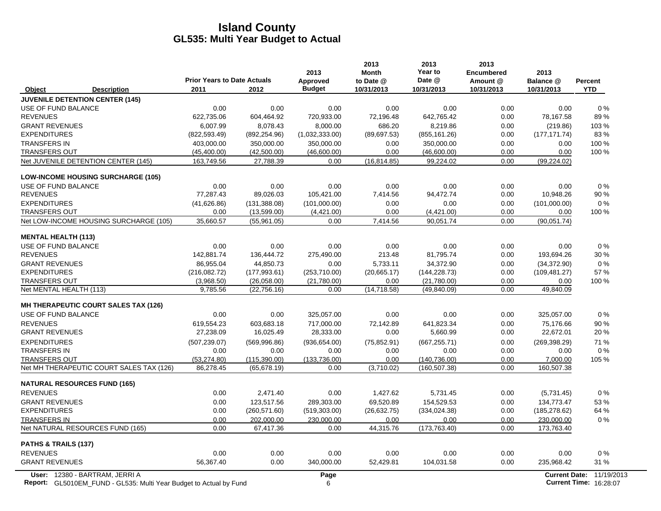|                                                                  | <b>Prior Years to Date Actuals</b> |                              | 2013<br>Approved     | 2013<br><b>Month</b><br>to Date @ | 2013<br>Year to<br>Date @      | 2013<br><b>Encumbered</b><br>Amount @ | 2013<br>Balance @        | Percent       |
|------------------------------------------------------------------|------------------------------------|------------------------------|----------------------|-----------------------------------|--------------------------------|---------------------------------------|--------------------------|---------------|
| <b>Description</b><br>Object                                     | 2011                               | 2012                         | <b>Budget</b>        | 10/31/2013                        | 10/31/2013                     | 10/31/2013                            | 10/31/2013               | <b>YTD</b>    |
| <b>JUVENILE DETENTION CENTER (145)</b>                           |                                    |                              |                      |                                   |                                |                                       |                          |               |
| USE OF FUND BALANCE                                              | 0.00                               | 0.00                         | 0.00                 | 0.00                              | 0.00                           | 0.00                                  | 0.00                     | $0\%$         |
| <b>REVENUES</b>                                                  | 622,735.06                         | 604,464.92                   | 720,933.00           | 72,196.48                         | 642,765.42                     | 0.00                                  | 78,167.58                | 89%           |
| <b>GRANT REVENUES</b>                                            | 6,007.99                           | 8,078.43                     | 8,000.00             | 686.20                            | 8,219.86                       | 0.00                                  | (219.86)                 | 103%          |
| <b>EXPENDITURES</b>                                              | (822, 593.49)                      | (892, 254.96)                | (1,032,333.00)       | (89,697.53)                       | (855, 161.26)                  | 0.00                                  | (177, 171.74)            | 83%           |
| <b>TRANSFERS IN</b>                                              | 403.000.00                         | 350.000.00                   | 350.000.00           | 0.00                              | 350.000.00                     | 0.00                                  | 0.00                     | 100 %         |
| <b>TRANSFERS OUT</b>                                             | (45, 400.00)                       | (42,500.00)                  | (46,600.00)          | 0.00                              | (46,600.00)                    | 0.00                                  | 0.00                     | 100 %         |
| Net JUVENILE DETENTION CENTER (145)                              | 163,749.56                         | 27,788.39                    | 0.00                 | (16, 814.85)                      | 99,224.02                      | 0.00                                  | (99, 224.02)             |               |
| <b>LOW-INCOME HOUSING SURCHARGE (105)</b>                        |                                    |                              |                      |                                   |                                |                                       |                          |               |
| USE OF FUND BALANCE                                              | 0.00                               | 0.00                         | 0.00                 | 0.00                              | 0.00                           | 0.00                                  | 0.00                     | 0%            |
| <b>REVENUES</b>                                                  | 77,287.43                          | 89,026.03                    | 105,421.00           | 7,414.56                          | 94,472.74                      | 0.00                                  | 10,948.26                | 90 %          |
| <b>EXPENDITURES</b>                                              | (41,626.86)                        | (131, 388.08)                | (101,000.00)         | 0.00                              | 0.00                           | 0.00                                  | (101,000.00)             | 0%            |
| <b>TRANSFERS OUT</b>                                             | 0.00                               | (13,599.00)                  | (4,421.00)           | 0.00                              | (4,421.00)                     | 0.00                                  | 0.00                     | 100 %         |
| Net LOW-INCOME HOUSING SURCHARGE (105)                           | 35,660.57                          | (55,961.05)                  | 0.00                 | 7,414.56                          | 90,051.74                      | 0.00                                  | (90.051.74)              |               |
| <b>MENTAL HEALTH (113)</b>                                       |                                    |                              |                      |                                   |                                |                                       |                          |               |
| USE OF FUND BALANCE                                              | 0.00                               | 0.00                         | 0.00                 | 0.00                              | 0.00                           | 0.00                                  | 0.00                     | $0\%$         |
| <b>REVENUES</b>                                                  | 142,881.74                         | 136,444.72                   | 275,490.00           | 213.48                            | 81,795.74                      | 0.00                                  | 193,694.26               | 30 %          |
| <b>GRANT REVENUES</b>                                            | 86,955.04                          | 44,850.73                    | 0.00                 | 5,733.11                          | 34,372.90                      | 0.00                                  | (34, 372.90)             | 0%            |
| <b>EXPENDITURES</b>                                              | (216,082.72)                       | (177, 993.61)                | (253,710.00)         | (20,665.17)                       | (144, 228.73)                  | 0.00                                  | (109, 481.27)            | 57 %          |
| <b>TRANSFERS OUT</b>                                             | (3,968.50)                         | (26,058.00)                  | (21,780.00)          | 0.00                              | (21,780.00)                    | 0.00                                  | 0.00                     | 100 %         |
| Net MENTAL HEALTH (113)                                          | 9,785.56                           | (22, 756.16)                 | 0.00                 | (14, 718.58)                      | (49, 840.09)                   | 0.00                                  | 49,840.09                |               |
| <b>MH THERAPEUTIC COURT SALES TAX (126)</b>                      |                                    |                              |                      |                                   |                                |                                       |                          |               |
| USE OF FUND BALANCE                                              | 0.00                               | 0.00                         | 325,057.00           | 0.00                              | 0.00                           | 0.00                                  | 325.057.00               | $0\%$         |
| <b>REVENUES</b>                                                  | 619,554.23                         | 603.683.18                   | 717,000.00           | 72,142.89                         | 641.823.34                     | 0.00                                  | 75.176.66                | 90 %          |
| <b>GRANT REVENUES</b>                                            | 27,238.09                          | 16,025.49                    | 28,333.00            | 0.00                              | 5,660.99                       | 0.00                                  | 22,672.01                | 20%           |
| <b>EXPENDITURES</b>                                              | (507, 239.07)                      | (569, 996.86)                | (936, 654.00)        | (75, 852.91)                      | (667, 255.71)                  | 0.00                                  | (269, 398.29)            | 71 %          |
| <b>TRANSFERS IN</b>                                              | 0.00                               | 0.00                         | 0.00                 | 0.00                              | 0.00                           | 0.00                                  | 0.00                     | $0\%$         |
| <b>TRANSFERS OUT</b><br>Net MH THERAPEUTIC COURT SALES TAX (126) | (53, 274.80)<br>86,278.45          | (115.390.00)<br>(65, 678.19) | (133.736.00)<br>0.00 | 0.00<br>(3,710.02)                | (140, 736.00)<br>(160, 507.38) | 0.00<br>0.00                          | 7,000.00<br>160,507.38   | 105 %         |
|                                                                  |                                    |                              |                      |                                   |                                |                                       |                          |               |
| <b>NATURAL RESOURCES FUND (165)</b>                              |                                    |                              |                      |                                   |                                |                                       |                          |               |
| <b>REVENUES</b>                                                  | 0.00                               | 2,471.40                     | 0.00                 | 1,427.62                          | 5,731.45                       | 0.00                                  | (5,731.45)               | 0%            |
| <b>GRANT REVENUES</b><br><b>EXPENDITURES</b>                     | 0.00<br>0.00                       | 123,517.56                   | 289,303.00           | 69,520.89                         | 154,529.53<br>(334, 024.38)    | 0.00                                  | 134,773.47               | 53 %          |
| <b>TRANSFERS IN</b>                                              | 0.00                               | (260, 571.60)                | (519, 303.00)        | (26, 632.75)<br>0.00              | 0.00                           | 0.00<br>0.00                          | (185, 278.62)            | 64 %<br>$0\%$ |
| Net NATURAL RESOURCES FUND (165)                                 | 0.00                               | 202,000.00<br>67,417.36      | 230,000.00<br>0.00   | 44,315.76                         | (173, 763.40)                  | 0.00                                  | 230,000.00<br>173,763.40 |               |
|                                                                  |                                    |                              |                      |                                   |                                |                                       |                          |               |
| PATHS & TRAILS (137)<br><b>REVENUES</b>                          | 0.00                               | 0.00                         | 0.00                 | 0.00                              | 0.00                           | 0.00                                  | 0.00                     | 0%            |
| <b>GRANT REVENUES</b>                                            |                                    | 0.00                         |                      |                                   |                                | 0.00                                  |                          | 31 %          |
|                                                                  | 56,367.40                          |                              | 340,000.00           | 52,429.81                         | 104,031.58                     |                                       | 235,968.42               |               |
| User: 12380 - BARTRAM, JERRI A                                   |                                    |                              | Page                 |                                   |                                |                                       | <b>Current Date:</b>     | 11/19/2013    |

**Report:** 6 **Current Time:** GL5010EM\_FUND - GL535: Multi Year Budget to Actual by Fund 16:28:07 16:28:07 16:28:07 16:28:07 16:28:07 16:28:07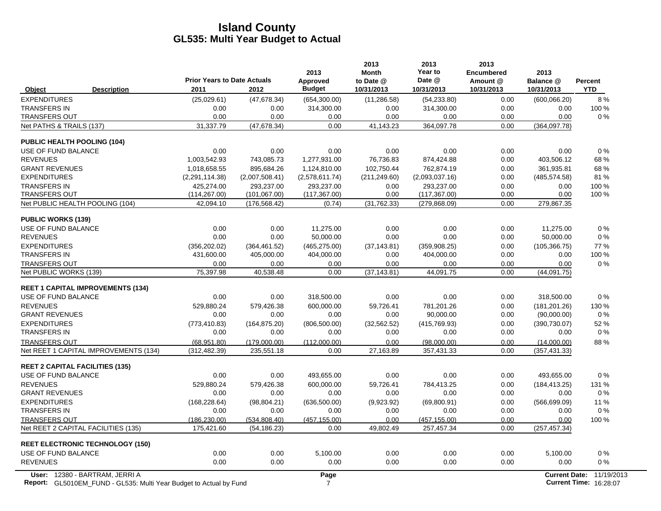|                                                             | <b>Prior Years to Date Actuals</b> |                               | 2013<br>Approved      | 2013<br><b>Month</b><br>to Date @ | 2013<br>Year to<br>Date @ | 2013<br><b>Encumbered</b><br>Amount @ | 2013<br>Balance @    | Percent    |
|-------------------------------------------------------------|------------------------------------|-------------------------------|-----------------------|-----------------------------------|---------------------------|---------------------------------------|----------------------|------------|
| <b>Description</b><br>Object                                | 2011                               | 2012                          | <b>Budget</b>         | 10/31/2013                        | 10/31/2013                | 10/31/2013                            | 10/31/2013           | <b>YTD</b> |
| <b>EXPENDITURES</b>                                         | (25,029.61)                        | (47, 678.34)                  | (654, 300.00)         | (11, 286.58)                      | (54, 233.80)              | 0.00                                  | (600, 066.20)        | 8%         |
| <b>TRANSFERS IN</b>                                         | 0.00                               | 0.00                          | 314,300.00            | 0.00                              | 314,300.00                | 0.00                                  | 0.00                 | 100 %      |
| <b>TRANSFERS OUT</b>                                        | 0.00                               | 0.00                          | 0.00                  | 0.00                              | 0.00                      | 0.00                                  | 0.00                 | 0%         |
| Net PATHS & TRAILS (137)                                    | 31,337.79                          | (47, 678.34)                  | 0.00                  | 41,143.23                         | 364,097.78                | 0.00                                  | (364,097.78)         |            |
| <b>PUBLIC HEALTH POOLING (104)</b>                          |                                    |                               |                       |                                   |                           |                                       |                      |            |
| USE OF FUND BALANCE                                         | 0.00                               | 0.00                          | 0.00                  | 0.00                              | 0.00                      | 0.00                                  | 0.00                 | 0%         |
| <b>REVENUES</b>                                             | 1,003,542.93                       | 743.085.73                    | 1.277.931.00          | 76.736.83                         | 874.424.88                | 0.00                                  | 403.506.12           | 68%        |
| <b>GRANT REVENUES</b>                                       | 1.018.658.55                       | 895.684.26                    | 1.124.810.00          | 102.750.44                        | 762.874.19                | 0.00                                  | 361,935.81           | 68%        |
| <b>EXPENDITURES</b>                                         | (2,291,114.38)                     | (2,007,508.41)                | (2,578,611.74)        | (211, 249.60)                     | (2,093,037.16)            | 0.00                                  | (485, 574.58)        | 81%        |
| <b>TRANSFERS IN</b>                                         | 425,274.00                         | 293,237.00                    | 293,237.00            | 0.00                              | 293,237.00                | 0.00                                  | 0.00                 | 100 %      |
| <b>TRANSFERS OUT</b>                                        | (114, 267.00)                      | (101, 067.00)                 | (117, 367.00)         | 0.00                              | (117, 367.00)             | 0.00                                  | 0.00                 | 100 %      |
| Net PUBLIC HEALTH POOLING (104)                             | 42,094.10                          | (176, 568.42)                 | (0.74)                | (31, 762.33)                      | (279, 868.09)             | 0.00                                  | 279,867.35           |            |
| <b>PUBLIC WORKS (139)</b>                                   |                                    |                               |                       |                                   |                           |                                       |                      |            |
| USE OF FUND BALANCE                                         | 0.00                               | 0.00                          | 11,275.00             | 0.00                              | 0.00                      | 0.00                                  | 11.275.00            | 0%         |
| <b>REVENUES</b>                                             | 0.00                               | 0.00                          | 50.000.00             | 0.00                              | 0.00                      | 0.00                                  | 50,000.00            | 0%         |
| <b>EXPENDITURES</b>                                         | (356, 202.02)                      | (364, 461.52)                 | (465, 275.00)         | (37, 143.81)                      | (359,908.25)              | 0.00                                  | (105, 366.75)        | 77 %       |
| <b>TRANSFERS IN</b>                                         | 431,600.00                         | 405,000.00                    | 404,000.00            | 0.00                              | 404,000.00                | 0.00                                  | 0.00                 | 100 %      |
| <b>TRANSFERS OUT</b>                                        | 0.00                               | 0.00                          | 0.00                  | 0.00                              | 0.00                      | 0.00                                  | 0.00                 | 0%         |
| Net PUBLIC WORKS (139)                                      | 75,397.98                          | 40,538.48                     | 0.00                  | (37, 143.81)                      | 44,091.75                 | 0.00                                  | (44,091.75)          |            |
| <b>REET 1 CAPITAL IMPROVEMENTS (134)</b>                    |                                    |                               |                       |                                   |                           |                                       |                      |            |
| USE OF FUND BALANCE                                         | 0.00                               | 0.00                          | 318,500.00            | 0.00                              | 0.00                      | 0.00                                  | 318,500.00           | 0%         |
| <b>REVENUES</b>                                             | 529,880.24                         | 579,426.38                    | 600,000.00            | 59,726.41                         | 781,201.26                | 0.00                                  | (181, 201.26)        | 130 %      |
| <b>GRANT REVENUES</b>                                       | 0.00                               | 0.00                          | 0.00                  | 0.00                              | 90,000.00                 | 0.00                                  | (90,000.00)          | $0\%$      |
| <b>EXPENDITURES</b>                                         | (773, 410.83)                      | (164, 875.20)                 | (806, 500.00)         | (32, 562.52)                      | (415, 769.93)             | 0.00                                  | (390, 730.07)        | 52 %       |
| <b>TRANSFERS IN</b>                                         | 0.00                               | 0.00                          | 0.00                  | 0.00                              | 0.00                      | 0.00                                  | 0.00                 | 0%         |
| <b>TRANSFERS OUT</b>                                        | (68.951.80)                        | (179,000.00)                  | (112.000.00)          | 0.00                              | (98.000.00)               | 0.00                                  | (14,000.00)          | 88%        |
| Net REET 1 CAPITAL IMPROVEMENTS (134)                       | (312, 482.39)                      | 235,551.18                    | 0.00                  | 27,163.89                         | 357,431.33                | 0.00                                  | (357, 431.33)        |            |
| <b>REET 2 CAPITAL FACILITIES (135)</b>                      |                                    |                               |                       |                                   |                           |                                       |                      |            |
| USE OF FUND BALANCE                                         | 0.00                               | 0.00                          | 493,655.00            | 0.00                              | 0.00                      | 0.00                                  | 493,655.00           | 0%         |
| <b>REVENUES</b>                                             | 529,880.24                         | 579.426.38                    | 600,000.00            | 59.726.41                         | 784,413.25                | 0.00                                  | (184, 413.25)        | 131 %      |
| <b>GRANT REVENUES</b>                                       | 0.00                               | 0.00                          | 0.00                  | 0.00                              | 0.00                      | 0.00                                  | 0.00                 | 0%         |
| <b>EXPENDITURES</b>                                         | (168, 228.64)                      | (98, 804.21)                  | (636, 500.00)         | (9,923.92)                        | (69,800.91)               | 0.00                                  | (566, 699.09)        | 11 %       |
| <b>TRANSFERS IN</b>                                         | 0.00                               | 0.00                          | 0.00                  | 0.00                              | 0.00                      | 0.00                                  | 0.00                 | $0\%$      |
| <b>TRANSFERS OUT</b><br>Net REET 2 CAPITAL FACILITIES (135) | (186, 230.00)<br>175,421.60        | (534, 808.40)<br>(54, 186.23) | (457, 155.00)<br>0.00 | 0.00<br>49,802.49                 | (457, 155.00)             | 0.00<br>0.00                          | 0.00                 | 100 %      |
|                                                             |                                    |                               |                       |                                   | 257,457.34                |                                       | (257, 457.34)        |            |
| <b>REET ELECTRONIC TECHNOLOGY (150)</b>                     |                                    |                               |                       |                                   |                           |                                       |                      |            |
| USE OF FUND BALANCE                                         | 0.00                               | 0.00                          | 5,100.00              | 0.00                              | 0.00                      | 0.00                                  | 5,100.00             | 0%         |
| <b>REVENUES</b>                                             | 0.00                               | 0.00                          | 0.00                  | 0.00                              | 0.00                      | 0.00                                  | 0.00                 | 0%         |
| User: 12380 - BARTRAM, JERRI A                              |                                    |                               | Page                  |                                   |                           |                                       | <b>Current Date:</b> | 11/19/2013 |

**Report:** 7 **Current Time:** GL5010EM\_FUND - GL535: Multi Year Budget to Actual by Fund 16:28:07 1990 17 1990 18:08:07 1990 18:28:07 18:28:07 18:28:07 18:28:07 18:28:07 18:28:07 18:28:07 18:28:07 18:28:07 18:28:07 18:28:07 18:28:07 18:28:07 18:28:07 1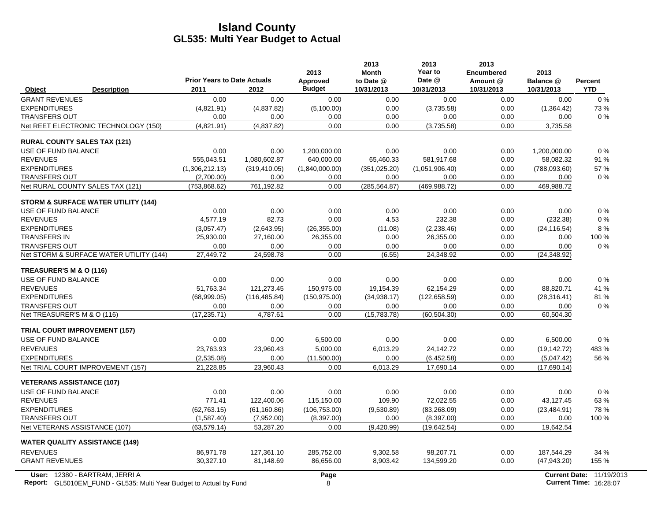|                                                                                                             | <b>Prior Years to Date Actuals</b> |               | 2013<br>Approved | 2013<br><b>Month</b><br>to Date @ | 2013<br>Year to<br>Date @ | 2013<br><b>Encumbered</b><br>Amount @ | 2013<br>Balance @ | <b>Percent</b>                                                   |
|-------------------------------------------------------------------------------------------------------------|------------------------------------|---------------|------------------|-----------------------------------|---------------------------|---------------------------------------|-------------------|------------------------------------------------------------------|
| <b>Description</b><br>Object                                                                                | 2011                               | 2012          | <b>Budget</b>    | 10/31/2013                        | 10/31/2013                | 10/31/2013                            | 10/31/2013        | <b>YTD</b>                                                       |
| <b>GRANT REVENUES</b>                                                                                       | 0.00                               | 0.00          | 0.00             | 0.00                              | 0.00                      | 0.00                                  | 0.00              | $0\%$                                                            |
| <b>EXPENDITURES</b>                                                                                         | (4,821.91)                         | (4,837.82)    | (5,100.00)       | 0.00                              | (3,735.58)                | 0.00                                  | (1,364.42)        | 73%                                                              |
| <b>TRANSFERS OUT</b>                                                                                        | 0.00                               | 0.00          | 0.00             | 0.00                              | 0.00                      | 0.00                                  | 0.00              | $0\%$                                                            |
| Net REET ELECTRONIC TECHNOLOGY (150)                                                                        | (4,821.91)                         | (4,837.82)    | 0.00             | 0.00                              | (3,735.58)                | 0.00                                  | 3,735.58          |                                                                  |
| <b>RURAL COUNTY SALES TAX (121)</b>                                                                         |                                    |               |                  |                                   |                           |                                       |                   |                                                                  |
| USE OF FUND BALANCE                                                                                         | 0.00                               | 0.00          | 1,200,000.00     | 0.00                              | 0.00                      | 0.00                                  | 1,200,000.00      | 0%                                                               |
| <b>REVENUES</b>                                                                                             | 555,043.51                         | 1,080,602.87  | 640,000.00       | 65,460.33                         | 581,917.68                | 0.00                                  | 58,082.32         | 91 %                                                             |
| <b>EXPENDITURES</b>                                                                                         | (1,306,212.13)                     | (319, 410.05) | (1,840,000.00)   | (351, 025.20)                     | (1,051,906.40)            | 0.00                                  | (788,093.60)      | 57%                                                              |
| <b>TRANSFERS OUT</b>                                                                                        | (2,700.00)                         | 0.00          | 0.00             | 0.00                              | 0.00                      | 0.00                                  | 0.00              | $0\%$                                                            |
| Net RURAL COUNTY SALES TAX (121)                                                                            | (753, 868.62)                      | 761,192.82    | 0.00             | (285, 564.87)                     | (469,988.72)              | 0.00                                  | 469,988.72        |                                                                  |
| <b>STORM &amp; SURFACE WATER UTILITY (144)</b>                                                              |                                    |               |                  |                                   |                           |                                       |                   |                                                                  |
| USE OF FUND BALANCE                                                                                         | 0.00                               | 0.00          | 0.00             | 0.00                              | 0.00                      | 0.00                                  | 0.00              | $0\%$                                                            |
| <b>REVENUES</b>                                                                                             | 4,577.19                           | 82.73         | 0.00             | 4.53                              | 232.38                    | 0.00                                  | (232.38)          | $0\%$                                                            |
| <b>EXPENDITURES</b>                                                                                         | (3,057.47)                         | (2,643.95)    | (26, 355.00)     | (11.08)                           | (2,238.46)                | 0.00                                  | (24, 116.54)      | 8%                                                               |
| <b>TRANSFERS IN</b>                                                                                         | 25,930.00                          | 27,160.00     | 26,355.00        | 0.00                              | 26,355.00                 | 0.00                                  | 0.00              | 100 %                                                            |
| <b>TRANSFERS OUT</b>                                                                                        | 0.00                               | 0.00          | 0.00             | 0.00                              | 0.00                      | 0.00                                  | 0.00              | 0%                                                               |
| Net STORM & SURFACE WATER UTILITY (144)                                                                     | 27,449.72                          | 24,598.78     | 0.00             | (6.55)                            | 24,348.92                 | 0.00                                  | (24, 348.92)      |                                                                  |
| TREASURER'S M & O (116)                                                                                     |                                    |               |                  |                                   |                           |                                       |                   |                                                                  |
| USE OF FUND BALANCE                                                                                         | 0.00                               | 0.00          | 0.00             | 0.00                              | 0.00                      | 0.00                                  | 0.00              | $0\%$                                                            |
| <b>REVENUES</b>                                                                                             | 51.763.34                          | 121,273.45    | 150.975.00       | 19.154.39                         | 62.154.29                 | 0.00                                  | 88.820.71         | 41 %                                                             |
| <b>EXPENDITURES</b>                                                                                         | (68,999.05)                        | (116, 485.84) | (150, 975.00)    | (34,938.17)                       | (122, 658.59)             | 0.00                                  | (28, 316.41)      | 81%                                                              |
| <b>TRANSFERS OUT</b>                                                                                        | 0.00                               | 0.00          | 0.00             | 0.00                              | 0.00                      | 0.00                                  | 0.00              | $0\%$                                                            |
| Net TREASURER'S M & O (116)                                                                                 | (17, 235.71)                       | 4,787.61      | 0.00             | (15,783.78)                       | (60, 504.30)              | 0.00                                  | 60,504.30         |                                                                  |
| <b>TRIAL COURT IMPROVEMENT (157)</b>                                                                        |                                    |               |                  |                                   |                           |                                       |                   |                                                                  |
| USE OF FUND BALANCE                                                                                         | 0.00                               | 0.00          | 6,500.00         | 0.00                              | 0.00                      | 0.00                                  | 6,500.00          | 0%                                                               |
| <b>REVENUES</b>                                                                                             | 23.763.93                          | 23,960.43     | 5,000.00         | 6,013.29                          | 24,142.72                 | 0.00                                  | (19, 142.72)      | 483 %                                                            |
| <b>EXPENDITURES</b>                                                                                         | (2,535.08)                         | 0.00          | (11,500.00)      | 0.00                              | (6,452.58)                | 0.00                                  | (5,047.42)        | 56 %                                                             |
| Net TRIAL COURT IMPROVEMENT (157)                                                                           | 21,228.85                          | 23,960.43     | 0.00             | 6,013.29                          | 17,690.14                 | 0.00                                  | (17,690.14)       |                                                                  |
| <b>VETERANS ASSISTANCE (107)</b>                                                                            |                                    |               |                  |                                   |                           |                                       |                   |                                                                  |
| USE OF FUND BALANCE                                                                                         | 0.00                               | 0.00          | 0.00             | 0.00                              | 0.00                      | 0.00                                  | 0.00              | 0%                                                               |
| <b>REVENUES</b>                                                                                             | 771.41                             | 122,400.06    | 115,150.00       | 109.90                            | 72,022.55                 | 0.00                                  | 43,127.45         | 63%                                                              |
| <b>EXPENDITURES</b>                                                                                         | (62, 763, 15)                      | (61, 160.86)  | (106, 753.00)    | (9,530.89)                        | (83, 268.09)              | 0.00                                  | (23, 484.91)      | 78%                                                              |
| <b>TRANSFERS OUT</b>                                                                                        | (1,587.40)                         | (7,952.00)    | (8,397.00)       | 0.00                              | (8, 397.00)               | 0.00                                  | 0.00              | 100 %                                                            |
| Net VETERANS ASSISTANCE (107)                                                                               | (63, 579.14)                       | 53,287.20     | 0.00             | (9,420.99)                        | (19, 642.54)              | 0.00                                  | 19,642.54         |                                                                  |
| <b>WATER QUALITY ASSISTANCE (149)</b>                                                                       |                                    |               |                  |                                   |                           |                                       |                   |                                                                  |
| <b>REVENUES</b>                                                                                             | 86,971.78                          | 127,361.10    | 285,752.00       | 9,302.58                          | 98,207.71                 | 0.00                                  | 187,544.29        | 34 %                                                             |
| <b>GRANT REVENUES</b>                                                                                       | 30,327.10                          | 81,148.69     | 86,656.00        | 8,903.42                          | 134,599.20                | 0.00                                  | (47, 943.20)      | 155 %                                                            |
| User: 12380 - BARTRAM, JERRI A<br><b>Report:</b> GL5010EM_FUND - GL535: Multi Year Budget to Actual by Fund |                                    |               | Page<br>8        |                                   |                           |                                       |                   | <b>Current Date: 11/19/2013</b><br><b>Current Time: 16:28:07</b> |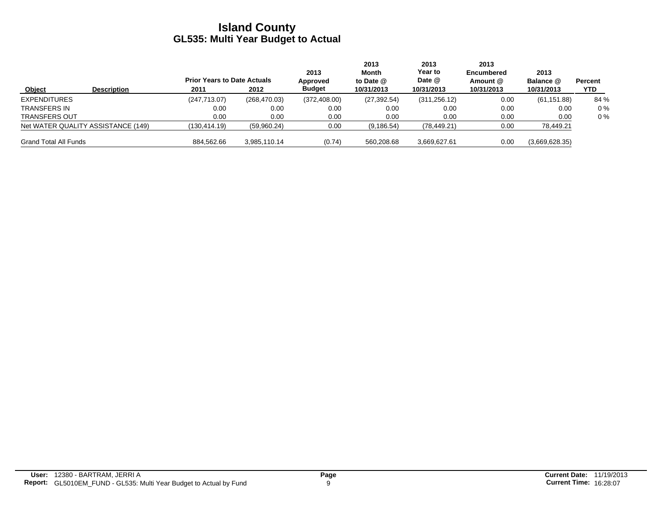|                              |                                    | <b>Prior Years to Date Actuals</b> |               | 2013<br>Approved | 2013<br>Month<br>to Date $@$ | 2013<br>Year to<br>Date @ | 2013<br><b>Encumbered</b><br>Amount @ | 2013<br>Balance @ | Percent |
|------------------------------|------------------------------------|------------------------------------|---------------|------------------|------------------------------|---------------------------|---------------------------------------|-------------------|---------|
| Object                       | <b>Description</b>                 | 2011                               | 2012          | <b>Budget</b>    | 10/31/2013                   | 10/31/2013                | 10/31/2013                            | 10/31/2013        | YTD.    |
| <b>EXPENDITURES</b>          |                                    | (247, 713.07)                      | (268, 470.03) | (372, 408.00)    | (27, 392.54)                 | (311, 256.12)             | 0.00                                  | (61, 151.88)      | 84 %    |
| TRANSFERS IN                 |                                    | 0.00                               | 0.00          | 0.00             | 0.00                         | 0.00                      | 0.00                                  | 0.00              | $0\%$   |
| <b>TRANSFERS OUT</b>         |                                    | 0.00                               | 0.00          | 0.00             | 0.00                         | 0.00                      | 0.00                                  | 0.00              | $0\%$   |
|                              | Net WATER QUALITY ASSISTANCE (149) | (130, 414.19)                      | (59,960.24)   | 0.00             | (9, 186.54)                  | (78, 449.21)              | 0.00                                  | 78,449.21         |         |
| <b>Grand Total All Funds</b> |                                    | 884,562.66                         | 3.985.110.14  | (0.74)           | 560,208.68                   | 3,669,627.61              | 0.00                                  | (3,669,628.35)    |         |